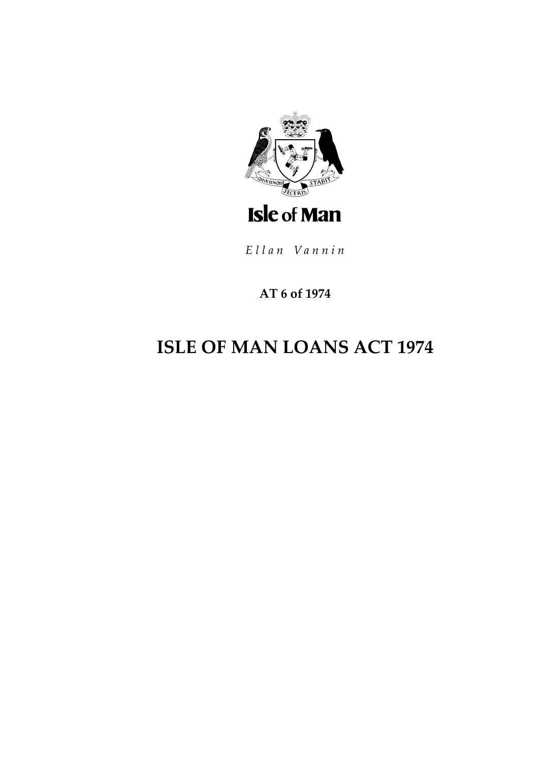

Ellan Vannin

# **AT 6 of 1974**

# **ISLE OF MAN LOANS ACT 1974**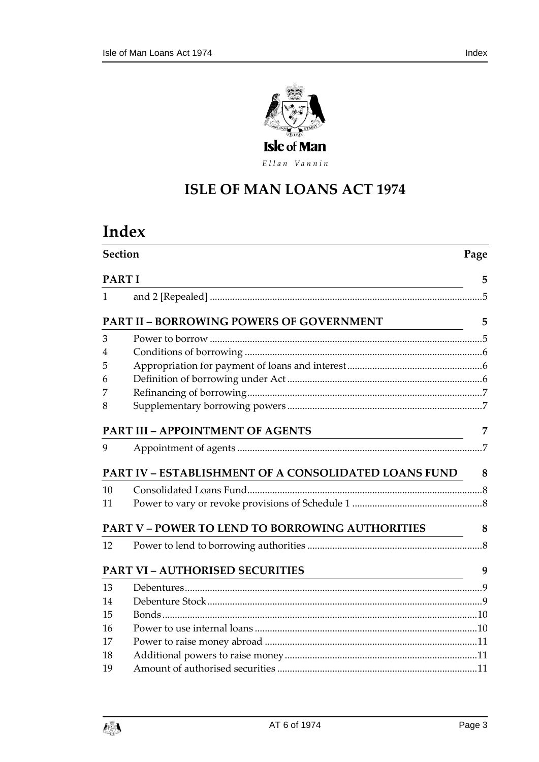

Ellan Vannin

# **ISLE OF MAN LOANS AC T 1974**

# **Index**

|    | Section                                                       | Page |
|----|---------------------------------------------------------------|------|
|    | <b>PART I</b>                                                 | 5    |
| 1  |                                                               |      |
|    | PART II - BORROWING POWERS OF GOVERNMENT                      | 5    |
| 3  |                                                               |      |
| 4  |                                                               |      |
| 5  |                                                               |      |
| 6  |                                                               |      |
| 7  |                                                               |      |
| 8  |                                                               |      |
|    | PART III - APPOINTMENT OF AGENTS                              | 7    |
| 9  |                                                               |      |
|    | <b>PART IV - ESTABLISHMENT OF A CONSOLIDATED LOANS FUND 8</b> |      |
| 10 |                                                               |      |
| 11 |                                                               |      |
|    | PART V – POWER TO LEND TO BORROWING AUTHORITIES               | 8    |
| 12 |                                                               |      |
|    | <b>PART VI - AUTHORISED SECURITIES</b>                        | 9    |
| 13 |                                                               |      |
| 14 |                                                               |      |
| 15 |                                                               |      |
| 16 |                                                               |      |
| 17 |                                                               |      |
| 18 |                                                               |      |
| 19 |                                                               |      |

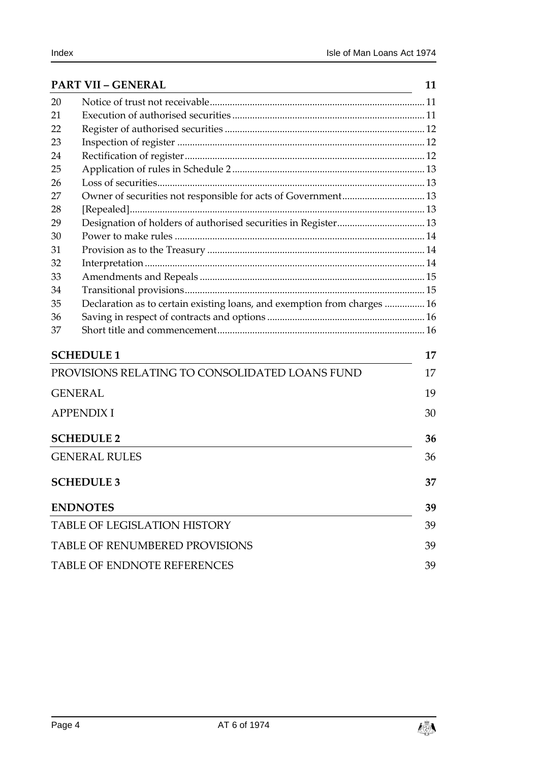|    | <b>PART VII - GENERAL</b>                                                | 11 |
|----|--------------------------------------------------------------------------|----|
| 20 |                                                                          |    |
| 21 |                                                                          |    |
| 22 |                                                                          |    |
| 23 |                                                                          |    |
| 24 |                                                                          |    |
| 25 |                                                                          |    |
| 26 |                                                                          |    |
| 27 |                                                                          |    |
| 28 |                                                                          |    |
| 29 |                                                                          |    |
| 30 |                                                                          |    |
| 31 |                                                                          |    |
| 32 |                                                                          |    |
| 33 |                                                                          |    |
| 34 |                                                                          |    |
| 35 | Declaration as to certain existing loans, and exemption from charges  16 |    |
| 36 |                                                                          |    |
| 37 |                                                                          |    |
|    | <b>SCHEDULE 1</b>                                                        | 17 |
|    | PROVISIONS RELATING TO CONSOLIDATED LOANS FUND                           | 17 |
|    | <b>GENERAL</b>                                                           | 19 |
|    | <b>APPENDIX I</b>                                                        | 30 |
|    | <b>SCHEDULE 2</b>                                                        | 36 |
|    | <b>GENERAL RULES</b>                                                     | 36 |
|    | <b>SCHEDULE 3</b>                                                        | 37 |
|    | <b>ENDNOTES</b>                                                          | 39 |
|    | <b>TABLE OF LEGISLATION HISTORY</b>                                      | 39 |
|    | <b>TABLE OF RENUMBERED PROVISIONS</b>                                    | 39 |
|    | <b>TABLE OF ENDNOTE REFERENCES</b>                                       | 39 |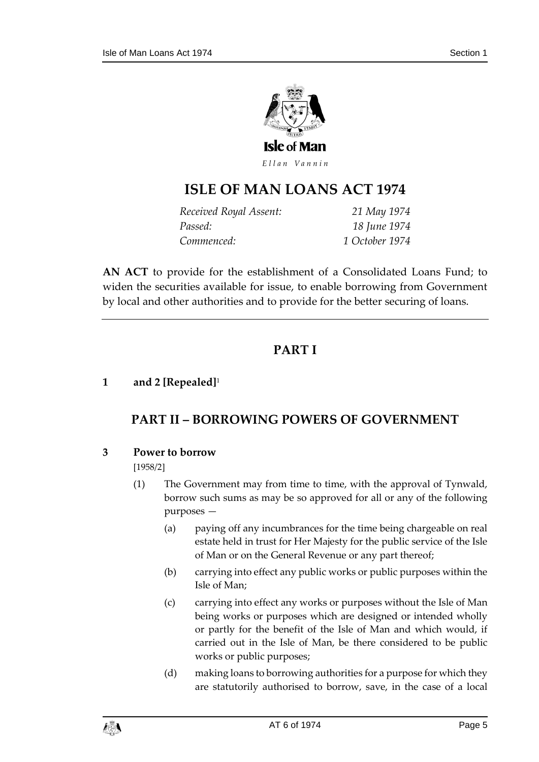

Ellan Vannin

# **ISLE OF MAN LOANS AC T 1974**

| Received Royal Assent: | 21 May 1974    |
|------------------------|----------------|
| Passed:                | 18 June 1974   |
| Commenced:             | 1 October 1974 |

**AN ACT** to provide for the establishment of a Consolidated Loans Fund; to widen the securities available for issue, to enable borrowing from Government by local and other authorities and to provide for the better securing of loans.

# **PART I**

#### <span id="page-4-2"></span><span id="page-4-1"></span><span id="page-4-0"></span>**1 and 2 [Repealed]**<sup>1</sup>

# **PART II – BORROWING POWERS OF GOVERNMENT**

#### <span id="page-4-3"></span>**3 Power to borrow**

#### [1958/2]

- (1) The Government may from time to time, with the approval of Tynwald, borrow such sums as may be so approved for all or any of the following purposes —
	- (a) paying off any incumbrances for the time being chargeable on real estate held in trust for Her Majesty for the public service of the Isle of Man or on the General Revenue or any part thereof;
	- (b) carrying into effect any public works or public purposes within the Isle of Man;
	- (c) carrying into effect any works or purposes without the Isle of Man being works or purposes which are designed or intended wholly or partly for the benefit of the Isle of Man and which would, if carried out in the Isle of Man, be there considered to be public works or public purposes;
	- (d) making loans to borrowing authorities for a purpose for which they are statutorily authorised to borrow, save, in the case of a local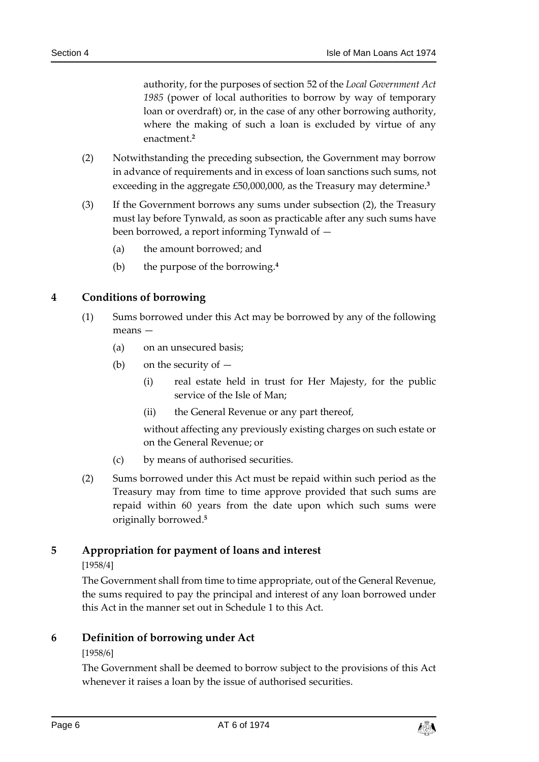authority, for the purposes of section 52 of the *Local Government Act 1985* (power of local authorities to borrow by way of temporary loan or overdraft) or, in the case of any other borrowing authority, where the making of such a loan is excluded by virtue of any enactment.**<sup>2</sup>**

- (2) Notwithstanding the preceding subsection, the Government may borrow in advance of requirements and in excess of loan sanctions such sums, not exceeding in the aggregate £50,000,000, as the Treasury may determine.**<sup>3</sup>**
- (3) If the Government borrows any sums under subsection (2), the Treasury must lay before Tynwald, as soon as practicable after any such sums have been borrowed, a report informing Tynwald of —
	- (a) the amount borrowed; and
	- (b) the purpose of the borrowing.**<sup>4</sup>**

#### <span id="page-5-0"></span>**4 Conditions of borrowing**

- (1) Sums borrowed under this Act may be borrowed by any of the following means —
	- (a) on an unsecured basis;
	- (b) on the security of
		- (i) real estate held in trust for Her Majesty, for the public service of the Isle of Man;
		- (ii) the General Revenue or any part thereof,

without affecting any previously existing charges on such estate or on the General Revenue; or

- (c) by means of authorised securities.
- (2) Sums borrowed under this Act must be repaid within such period as the Treasury may from time to time approve provided that such sums are repaid within 60 years from the date upon which such sums were originally borrowed. **5**

#### <span id="page-5-1"></span>**5 Appropriation for payment of loans and interest**

#### [1958/4]

The Government shall from time to time appropriate, out of the General Revenue, the sums required to pay the principal and interest of any loan borrowed under this Act in the manner set out in Schedule 1 to this Act.

#### <span id="page-5-2"></span>**6 Definition of borrowing under Act**

#### [1958/6]

The Government shall be deemed to borrow subject to the provisions of this Act whenever it raises a loan by the issue of authorised securities.

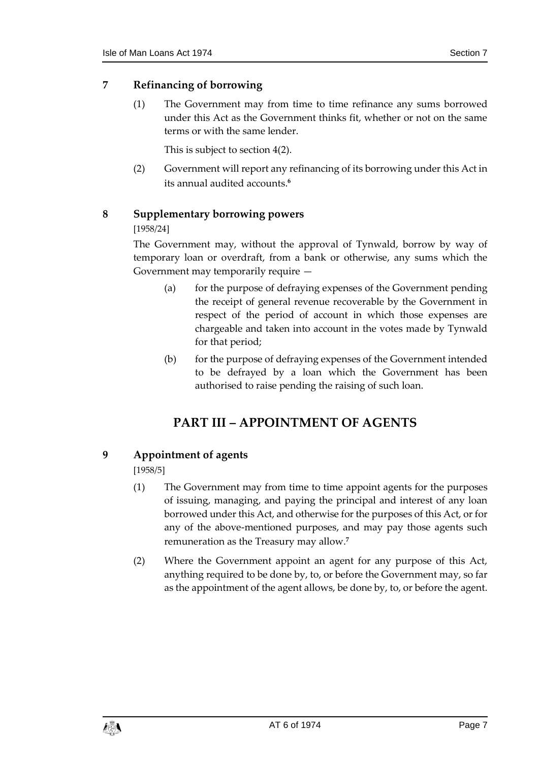#### <span id="page-6-0"></span>**7 Refinancing of borrowing**

(1) The Government may from time to time refinance any sums borrowed under this Act as the Government thinks fit, whether or not on the same terms or with the same lender.

This is subject to section 4(2).

(2) Government will report any refinancing of its borrowing under this Act in its annual audited accounts. **6**

#### <span id="page-6-1"></span>**8 Supplementary borrowing powers**

#### [1958/24]

The Government may, without the approval of Tynwald, borrow by way of temporary loan or overdraft, from a bank or otherwise, any sums which the Government may temporarily require —

- (a) for the purpose of defraying expenses of the Government pending the receipt of general revenue recoverable by the Government in respect of the period of account in which those expenses are chargeable and taken into account in the votes made by Tynwald for that period;
- (b) for the purpose of defraying expenses of the Government intended to be defrayed by a loan which the Government has been authorised to raise pending the raising of such loan.

# **PART III – APPOINTMENT OF AGENTS**

#### <span id="page-6-3"></span><span id="page-6-2"></span>**9 Appointment of agents**

[1958/5]

- (1) The Government may from time to time appoint agents for the purposes of issuing, managing, and paying the principal and interest of any loan borrowed under this Act, and otherwise for the purposes of this Act, or for any of the above-mentioned purposes, and may pay those agents such remuneration as the Treasury may allow.**<sup>7</sup>**
- (2) Where the Government appoint an agent for any purpose of this Act, anything required to be done by, to, or before the Government may, so far as the appointment of the agent allows, be done by, to, or before the agent.

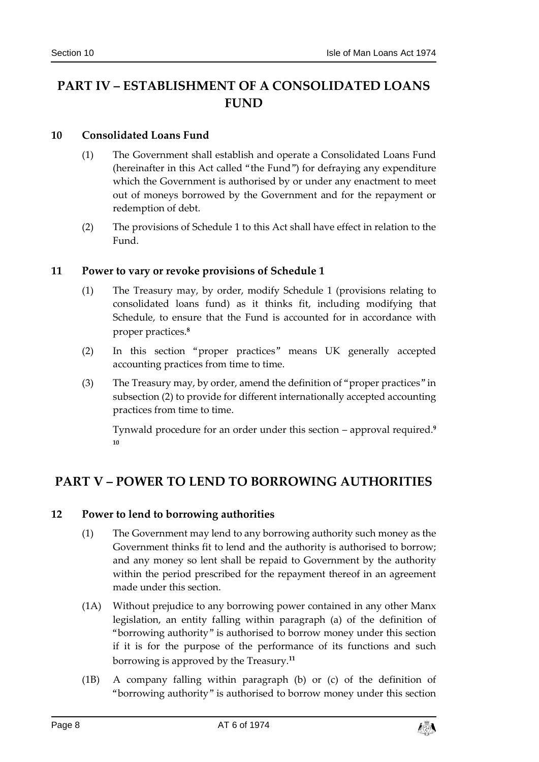# <span id="page-7-0"></span>**PART IV – ESTABLISHMENT OF A CONSOLIDATED LOANS FUND**

#### <span id="page-7-1"></span>**10 Consolidated Loans Fund**

- (1) The Government shall establish and operate a Consolidated Loans Fund (hereinafter in this Act called "the Fund") for defraying any expenditure which the Government is authorised by or under any enactment to meet out of moneys borrowed by the Government and for the repayment or redemption of debt.
- (2) The provisions of Schedule 1 to this Act shall have effect in relation to the Fund.

#### <span id="page-7-2"></span>**11 Power to vary or revoke provisions of Schedule 1**

- (1) The Treasury may, by order, modify Schedule 1 (provisions relating to consolidated loans fund) as it thinks fit, including modifying that Schedule, to ensure that the Fund is accounted for in accordance with proper practices.**<sup>8</sup>**
- (2) In this section "proper practices" means UK generally accepted accounting practices from time to time.
- (3) The Treasury may, by order, amend the definition of "proper practices" in subsection (2) to provide for different internationally accepted accounting practices from time to time.

Tynwald procedure for an order under this section – approval required. **9 10**

# <span id="page-7-4"></span><span id="page-7-3"></span>**PART V – POWER TO LEND TO BORROWING AUTHORITIES**

#### **12 Power to lend to borrowing authorities**

- (1) The Government may lend to any borrowing authority such money as the Government thinks fit to lend and the authority is authorised to borrow; and any money so lent shall be repaid to Government by the authority within the period prescribed for the repayment thereof in an agreement made under this section.
- (1A) Without prejudice to any borrowing power contained in any other Manx legislation, an entity falling within paragraph (a) of the definition of "borrowing authority" is authorised to borrow money under this section if it is for the purpose of the performance of its functions and such borrowing is approved by the Treasury.**<sup>11</sup>**
- (1B) A company falling within paragraph (b) or (c) of the definition of "borrowing authority" is authorised to borrow money under this section

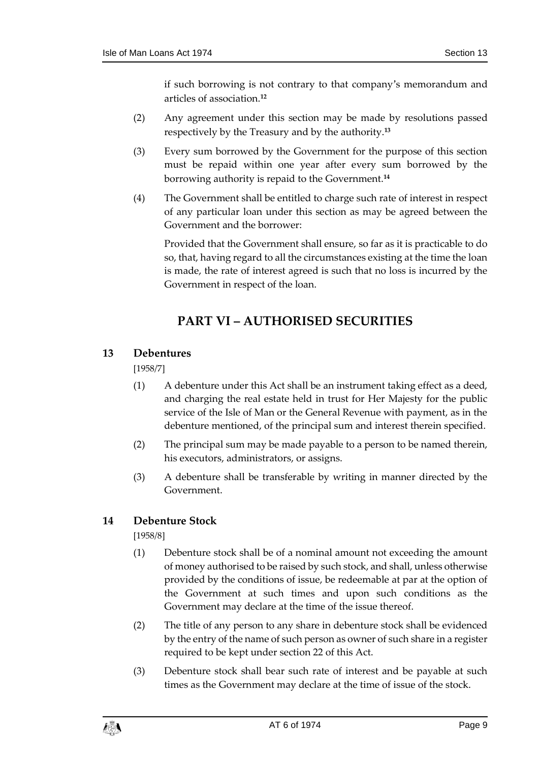if such borrowing is not contrary to that company's memorandum and articles of association.**<sup>12</sup>**

- (2) Any agreement under this section may be made by resolutions passed respectively by the Treasury and by the authority.**<sup>13</sup>**
- (3) Every sum borrowed by the Government for the purpose of this section must be repaid within one year after every sum borrowed by the borrowing authority is repaid to the Government.**<sup>14</sup>**
- (4) The Government shall be entitled to charge such rate of interest in respect of any particular loan under this section as may be agreed between the Government and the borrower:

Provided that the Government shall ensure, so far as it is practicable to do so, that, having regard to all the circumstances existing at the time the loan is made, the rate of interest agreed is such that no loss is incurred by the Government in respect of the loan.

# **PART VI – AUTHORISED SECURITIES**

#### <span id="page-8-1"></span><span id="page-8-0"></span>**13 Debentures**

[1958/7]

- (1) A debenture under this Act shall be an instrument taking effect as a deed, and charging the real estate held in trust for Her Majesty for the public service of the Isle of Man or the General Revenue with payment, as in the debenture mentioned, of the principal sum and interest therein specified.
- (2) The principal sum may be made payable to a person to be named therein, his executors, administrators, or assigns.
- (3) A debenture shall be transferable by writing in manner directed by the Government.

#### <span id="page-8-2"></span>**14 Debenture Stock**

[1958/8]

- (1) Debenture stock shall be of a nominal amount not exceeding the amount of money authorised to be raised by such stock, and shall, unless otherwise provided by the conditions of issue, be redeemable at par at the option of the Government at such times and upon such conditions as the Government may declare at the time of the issue thereof.
- (2) The title of any person to any share in debenture stock shall be evidenced by the entry of the name of such person as owner of such share in a register required to be kept under section 22 of this Act.
- (3) Debenture stock shall bear such rate of interest and be payable at such times as the Government may declare at the time of issue of the stock.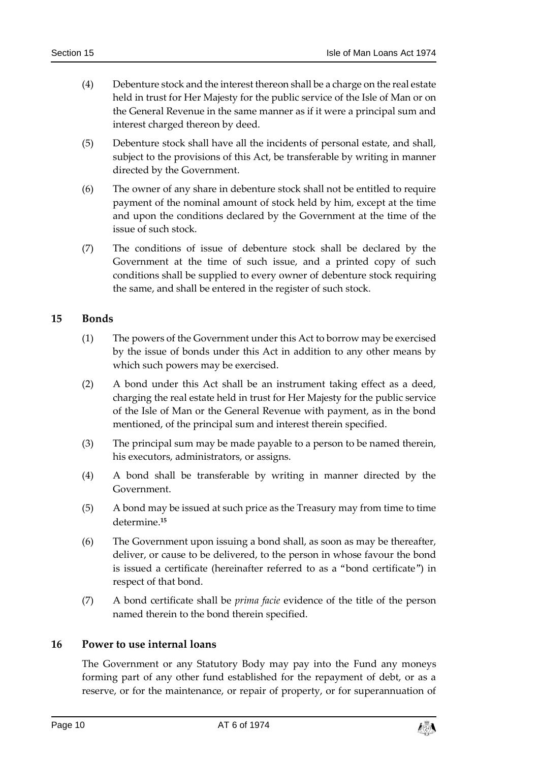- (4) Debenture stock and the interest thereon shall be a charge on the real estate held in trust for Her Majesty for the public service of the Isle of Man or on the General Revenue in the same manner as if it were a principal sum and interest charged thereon by deed.
- (5) Debenture stock shall have all the incidents of personal estate, and shall, subject to the provisions of this Act, be transferable by writing in manner directed by the Government.
- (6) The owner of any share in debenture stock shall not be entitled to require payment of the nominal amount of stock held by him, except at the time and upon the conditions declared by the Government at the time of the issue of such stock.
- (7) The conditions of issue of debenture stock shall be declared by the Government at the time of such issue, and a printed copy of such conditions shall be supplied to every owner of debenture stock requiring the same, and shall be entered in the register of such stock.

#### <span id="page-9-0"></span>**15 Bonds**

- (1) The powers of the Government under this Act to borrow may be exercised by the issue of bonds under this Act in addition to any other means by which such powers may be exercised.
- (2) A bond under this Act shall be an instrument taking effect as a deed, charging the real estate held in trust for Her Majesty for the public service of the Isle of Man or the General Revenue with payment, as in the bond mentioned, of the principal sum and interest therein specified.
- (3) The principal sum may be made payable to a person to be named therein, his executors, administrators, or assigns.
- (4) A bond shall be transferable by writing in manner directed by the Government.
- (5) A bond may be issued at such price as the Treasury may from time to time determine.**<sup>15</sup>**
- (6) The Government upon issuing a bond shall, as soon as may be thereafter, deliver, or cause to be delivered, to the person in whose favour the bond is issued a certificate (hereinafter referred to as a "bond certificate") in respect of that bond.
- (7) A bond certificate shall be *prima facie* evidence of the title of the person named therein to the bond therein specified.

#### <span id="page-9-1"></span>**16 Power to use internal loans**

The Government or any Statutory Body may pay into the Fund any moneys forming part of any other fund established for the repayment of debt, or as a reserve, or for the maintenance, or repair of property, or for superannuation of

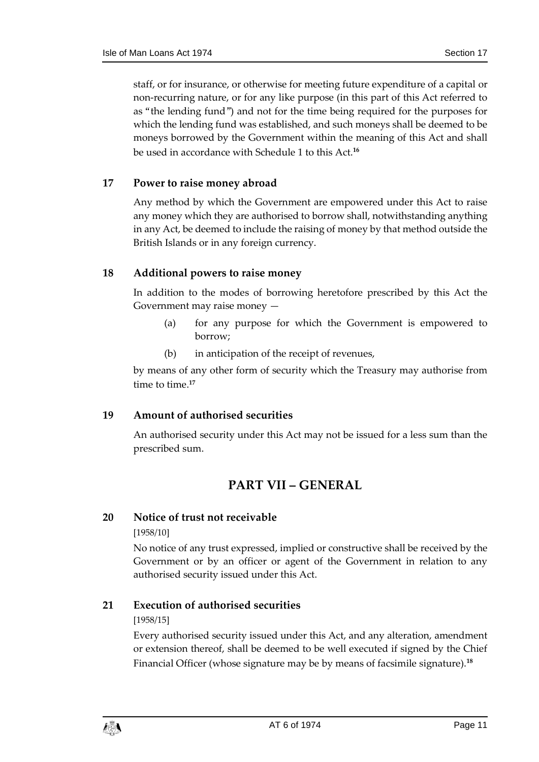staff, or for insurance, or otherwise for meeting future expenditure of a capital or non-recurring nature, or for any like purpose (in this part of this Act referred to as "the lending fund") and not for the time being required for the purposes for which the lending fund was established, and such moneys shall be deemed to be moneys borrowed by the Government within the meaning of this Act and shall be used in accordance with Schedule 1 to this Act.**<sup>16</sup>**

#### <span id="page-10-0"></span>**17 Power to raise money abroad**

Any method by which the Government are empowered under this Act to raise any money which they are authorised to borrow shall, notwithstanding anything in any Act, be deemed to include the raising of money by that method outside the British Islands or in any foreign currency.

#### <span id="page-10-1"></span>**18 Additional powers to raise money**

In addition to the modes of borrowing heretofore prescribed by this Act the Government may raise money —

- (a) for any purpose for which the Government is empowered to borrow;
- (b) in anticipation of the receipt of revenues,

by means of any other form of security which the Treasury may authorise from time to time.**<sup>17</sup>**

#### <span id="page-10-2"></span>**19 Amount of authorised securities**

<span id="page-10-3"></span>An authorised security under this Act may not be issued for a less sum than the prescribed sum.

# **PART VII – GENERAL**

#### <span id="page-10-4"></span>**20 Notice of trust not receivable**

#### [1958/10]

No notice of any trust expressed, implied or constructive shall be received by the Government or by an officer or agent of the Government in relation to any authorised security issued under this Act.

#### <span id="page-10-5"></span>**21 Execution of authorised securities**

#### [1958/15]

Every authorised security issued under this Act, and any alteration, amendment or extension thereof, shall be deemed to be well executed if signed by the Chief Financial Officer (whose signature may be by means of facsimile signature).**18**

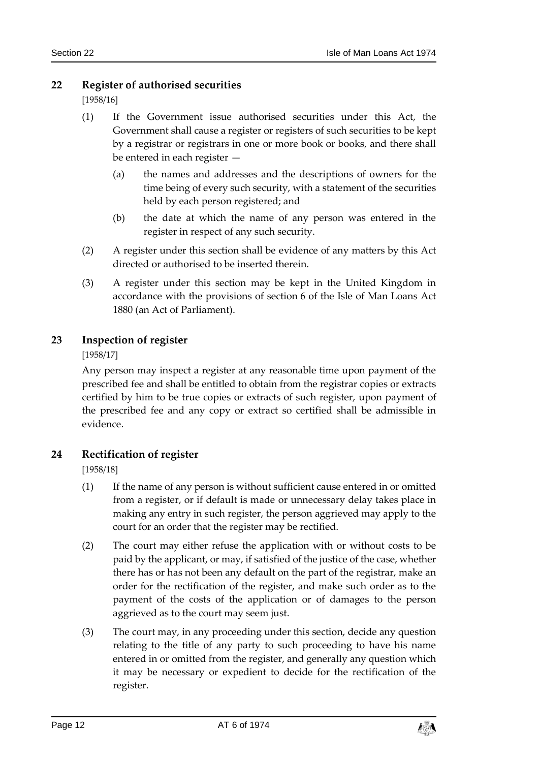#### <span id="page-11-0"></span>**22 Register of authorised securities**

[1958/16]

- (1) If the Government issue authorised securities under this Act, the Government shall cause a register or registers of such securities to be kept by a registrar or registrars in one or more book or books, and there shall be entered in each register —
	- (a) the names and addresses and the descriptions of owners for the time being of every such security, with a statement of the securities held by each person registered; and
	- (b) the date at which the name of any person was entered in the register in respect of any such security.
- (2) A register under this section shall be evidence of any matters by this Act directed or authorised to be inserted therein.
- (3) A register under this section may be kept in the United Kingdom in accordance with the provisions of section 6 of the Isle of Man Loans Act 1880 (an Act of Parliament).

#### <span id="page-11-1"></span>**23 Inspection of register**

[1958/17]

Any person may inspect a register at any reasonable time upon payment of the prescribed fee and shall be entitled to obtain from the registrar copies or extracts certified by him to be true copies or extracts of such register, upon payment of the prescribed fee and any copy or extract so certified shall be admissible in evidence.

#### <span id="page-11-2"></span>**24 Rectification of register**

[1958/18]

- (1) If the name of any person is without sufficient cause entered in or omitted from a register, or if default is made or unnecessary delay takes place in making any entry in such register, the person aggrieved may apply to the court for an order that the register may be rectified.
- (2) The court may either refuse the application with or without costs to be paid by the applicant, or may, if satisfied of the justice of the case, whether there has or has not been any default on the part of the registrar, make an order for the rectification of the register, and make such order as to the payment of the costs of the application or of damages to the person aggrieved as to the court may seem just.
- (3) The court may, in any proceeding under this section, decide any question relating to the title of any party to such proceeding to have his name entered in or omitted from the register, and generally any question which it may be necessary or expedient to decide for the rectification of the register.

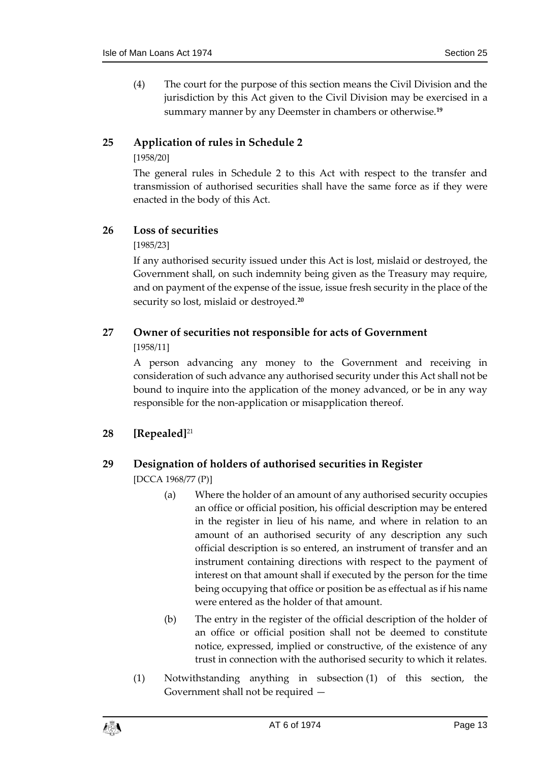(4) The court for the purpose of this section means the Civil Division and the jurisdiction by this Act given to the Civil Division may be exercised in a summary manner by any Deemster in chambers or otherwise.**<sup>19</sup>**

#### <span id="page-12-0"></span>**25 Application of rules in Schedule 2**

#### [1958/20]

The general rules in Schedule 2 to this Act with respect to the transfer and transmission of authorised securities shall have the same force as if they were enacted in the body of this Act.

#### <span id="page-12-1"></span>**26 Loss of securities**

#### [1985/23]

If any authorised security issued under this Act is lost, mislaid or destroyed, the Government shall, on such indemnity being given as the Treasury may require, and on payment of the expense of the issue, issue fresh security in the place of the security so lost, mislaid or destroyed.**<sup>20</sup>**

# <span id="page-12-2"></span>**27 Owner of securities not responsible for acts of Government**

[1958/11]

A person advancing any money to the Government and receiving in consideration of such advance any authorised security under this Act shall not be bound to inquire into the application of the money advanced, or be in any way responsible for the non-application or misapplication thereof.

#### <span id="page-12-3"></span>**28 [Repealed]**<sup>21</sup>

#### <span id="page-12-4"></span>**29 Designation of holders of authorised securities in Register**

[DCCA 1968/77 (P)]

- (a) Where the holder of an amount of any authorised security occupies an office or official position, his official description may be entered in the register in lieu of his name, and where in relation to an amount of an authorised security of any description any such official description is so entered, an instrument of transfer and an instrument containing directions with respect to the payment of interest on that amount shall if executed by the person for the time being occupying that office or position be as effectual as if his name were entered as the holder of that amount.
- (b) The entry in the register of the official description of the holder of an office or official position shall not be deemed to constitute notice, expressed, implied or constructive, of the existence of any trust in connection with the authorised security to which it relates.
- (1) Notwithstanding anything in subsection (1) of this section, the Government shall not be required —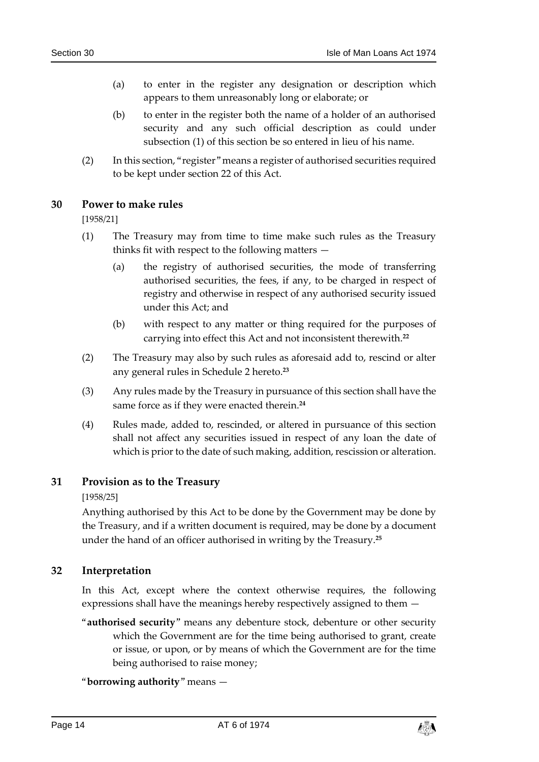- (a) to enter in the register any designation or description which appears to them unreasonably long or elaborate; or
- (b) to enter in the register both the name of a holder of an authorised security and any such official description as could under subsection (1) of this section be so entered in lieu of his name.
- (2) In this section, "register" means a register of authorised securities required to be kept under section 22 of this Act.

#### <span id="page-13-0"></span>**30 Power to make rules**

[1958/21]

- (1) The Treasury may from time to time make such rules as the Treasury thinks fit with respect to the following matters —
	- (a) the registry of authorised securities, the mode of transferring authorised securities, the fees, if any, to be charged in respect of registry and otherwise in respect of any authorised security issued under this Act; and
	- (b) with respect to any matter or thing required for the purposes of carrying into effect this Act and not inconsistent therewith.**<sup>22</sup>**
- (2) The Treasury may also by such rules as aforesaid add to, rescind or alter any general rules in Schedule 2 hereto.**<sup>23</sup>**
- (3) Any rules made by the Treasury in pursuance of this section shall have the same force as if they were enacted therein.**<sup>24</sup>**
- (4) Rules made, added to, rescinded, or altered in pursuance of this section shall not affect any securities issued in respect of any loan the date of which is prior to the date of such making, addition, rescission or alteration.

#### <span id="page-13-1"></span>**31 Provision as to the Treasury**

[1958/25]

Anything authorised by this Act to be done by the Government may be done by the Treasury, and if a written document is required, may be done by a document under the hand of an officer authorised in writing by the Treasury.**<sup>25</sup>**

#### <span id="page-13-2"></span>**32 Interpretation**

In this Act, except where the context otherwise requires, the following expressions shall have the meanings hereby respectively assigned to them —

"**authorised security**" means any debenture stock, debenture or other security which the Government are for the time being authorised to grant, create or issue, or upon, or by means of which the Government are for the time being authorised to raise money;

#### "**borrowing authority**" means —

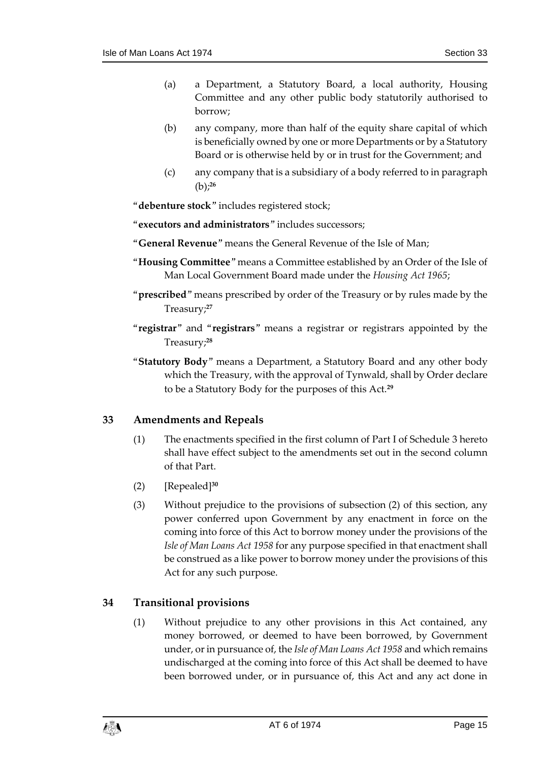- (a) a Department, a Statutory Board, a local authority, Housing Committee and any other public body statutorily authorised to borrow;
- (b) any company, more than half of the equity share capital of which is beneficially owned by one or more Departments or by a Statutory Board or is otherwise held by or in trust for the Government; and
- (c) any company that is a subsidiary of a body referred to in paragraph (b); **26**
- "**debenture stock**" includes registered stock;
- "**executors and administrators**" includes successors;
- "**General Revenue**" means the General Revenue of the Isle of Man;
- "**Housing Committee**" means a Committee established by an Order of the Isle of Man Local Government Board made under the *Housing Act 1965*;
- "**prescribed**" means prescribed by order of the Treasury or by rules made by the Treasury;**<sup>27</sup>**
- "**registrar**" and "**registrars**" means a registrar or registrars appointed by the Treasury;**<sup>28</sup>**
- "**Statutory Body**" means a Department, a Statutory Board and any other body which the Treasury, with the approval of Tynwald, shall by Order declare to be a Statutory Body for the purposes of this Act.**<sup>29</sup>**

#### <span id="page-14-0"></span>**33 Amendments and Repeals**

- (1) The enactments specified in the first column of Part I of Schedule 3 hereto shall have effect subject to the amendments set out in the second column of that Part.
- (2) [Repealed]**<sup>30</sup>**
- (3) Without prejudice to the provisions of subsection (2) of this section, any power conferred upon Government by any enactment in force on the coming into force of this Act to borrow money under the provisions of the *Isle of Man Loans Act 1958* for any purpose specified in that enactment shall be construed as a like power to borrow money under the provisions of this Act for any such purpose.

#### <span id="page-14-1"></span>**34 Transitional provisions**

(1) Without prejudice to any other provisions in this Act contained, any money borrowed, or deemed to have been borrowed, by Government under, or in pursuance of, the *Isle of Man Loans Act 1958* and which remains undischarged at the coming into force of this Act shall be deemed to have been borrowed under, or in pursuance of, this Act and any act done in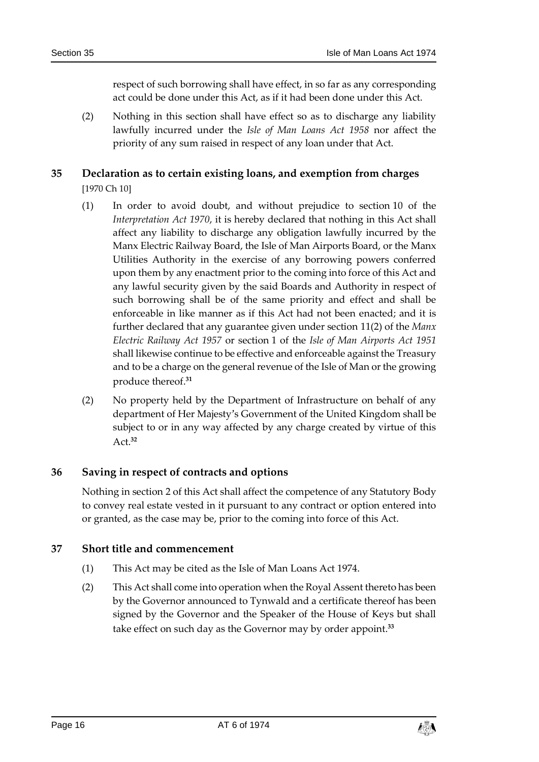respect of such borrowing shall have effect, in so far as any corresponding act could be done under this Act, as if it had been done under this Act.

(2) Nothing in this section shall have effect so as to discharge any liability lawfully incurred under the *Isle of Man Loans Act 1958* nor affect the priority of any sum raised in respect of any loan under that Act.

#### <span id="page-15-0"></span>**35 Declaration as to certain existing loans, and exemption from charges** [1970 Ch 10]

- (1) In order to avoid doubt, and without prejudice to section 10 of the *Interpretation Act 1970*, it is hereby declared that nothing in this Act shall affect any liability to discharge any obligation lawfully incurred by the Manx Electric Railway Board, the Isle of Man Airports Board, or the Manx Utilities Authority in the exercise of any borrowing powers conferred upon them by any enactment prior to the coming into force of this Act and any lawful security given by the said Boards and Authority in respect of such borrowing shall be of the same priority and effect and shall be enforceable in like manner as if this Act had not been enacted; and it is further declared that any guarantee given under section 11(2) of the *Manx Electric Railway Act 1957* or section 1 of the *Isle of Man Airports Act 1951* shall likewise continue to be effective and enforceable against the Treasury and to be a charge on the general revenue of the Isle of Man or the growing produce thereof.**<sup>31</sup>**
- (2) No property held by the Department of Infrastructure on behalf of any department of Her Majesty's Government of the United Kingdom shall be subject to or in any way affected by any charge created by virtue of this Act.**<sup>32</sup>**

#### <span id="page-15-1"></span>**36 Saving in respect of contracts and options**

Nothing in section 2 of this Act shall affect the competence of any Statutory Body to convey real estate vested in it pursuant to any contract or option entered into or granted, as the case may be, prior to the coming into force of this Act.

#### <span id="page-15-2"></span>**37 Short title and commencement**

- (1) This Act may be cited as the Isle of Man Loans Act 1974.
- (2) This Act shall come into operation when the Royal Assent thereto has been by the Governor announced to Tynwald and a certificate thereof has been signed by the Governor and the Speaker of the House of Keys but shall take effect on such day as the Governor may by order appoint.**33**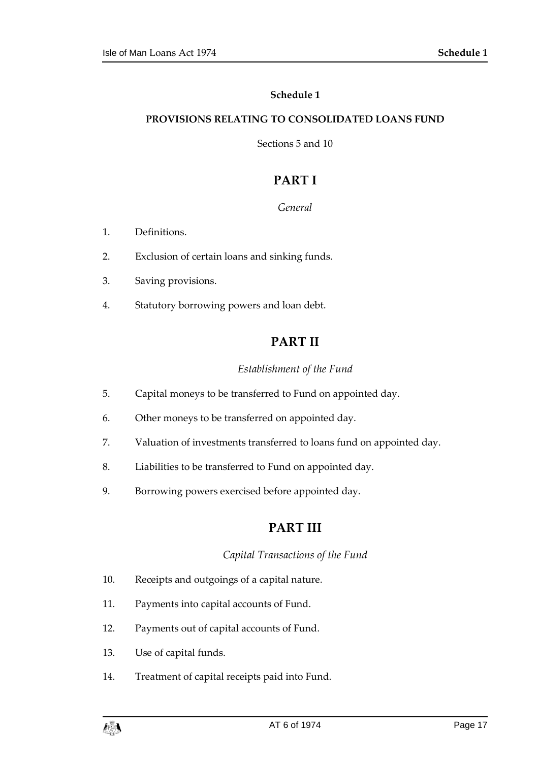#### **Schedule 1**

#### <span id="page-16-1"></span><span id="page-16-0"></span>**PROVISIONS RELATING TO CONSOLIDATED LOANS FUND**

Sections 5 and 10

# **PART I**

#### *General*

- 1. Definitions.
- 2. Exclusion of certain loans and sinking funds.
- 3. Saving provisions.
- 4. Statutory borrowing powers and loan debt.

## **PART II**

#### *Establishment of the Fund*

- 5. Capital moneys to be transferred to Fund on appointed day.
- 6. Other moneys to be transferred on appointed day.
- 7. Valuation of investments transferred to loans fund on appointed day.
- 8. Liabilities to be transferred to Fund on appointed day.
- 9. Borrowing powers exercised before appointed day.

#### **PART III**

#### *Capital Transactions of the Fund*

- 10. Receipts and outgoings of a capital nature.
- 11. Payments into capital accounts of Fund.
- 12. Payments out of capital accounts of Fund.
- 13. Use of capital funds.
- 14. Treatment of capital receipts paid into Fund.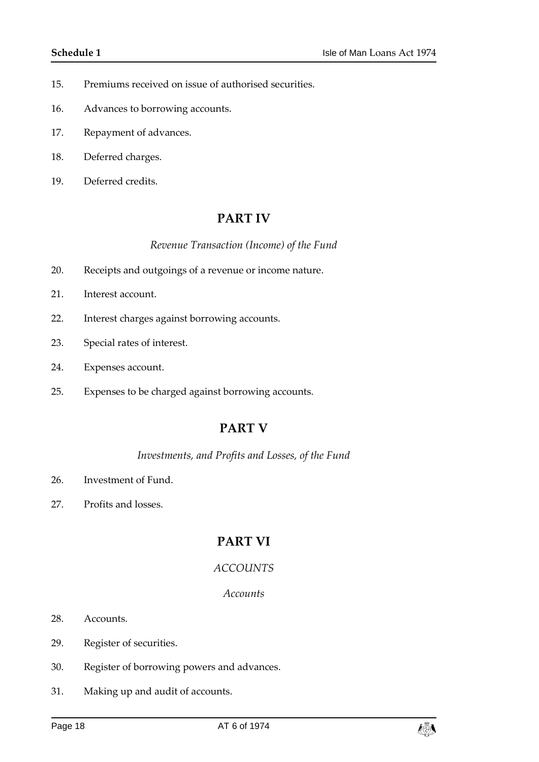- 15. Premiums received on issue of authorised securities.
- 16. Advances to borrowing accounts.
- 17. Repayment of advances.
- 18. Deferred charges.
- 19. Deferred credits.

#### **PART IV**

#### *Revenue Transaction (Income) of the Fund*

- 20. Receipts and outgoings of a revenue or income nature.
- 21. Interest account.
- 22. Interest charges against borrowing accounts.
- 23. Special rates of interest.
- 24. Expenses account.
- 25. Expenses to be charged against borrowing accounts.

#### **PART V**

#### *Investments, and Profits and Losses, of the Fund*

- 26. Investment of Fund.
- 27. Profits and losses.

# **PART VI**

#### *ACCOUNTS*

#### *Accounts*

- 28. Accounts.
- 29. Register of securities.
- 30. Register of borrowing powers and advances.
- 31. Making up and audit of accounts.

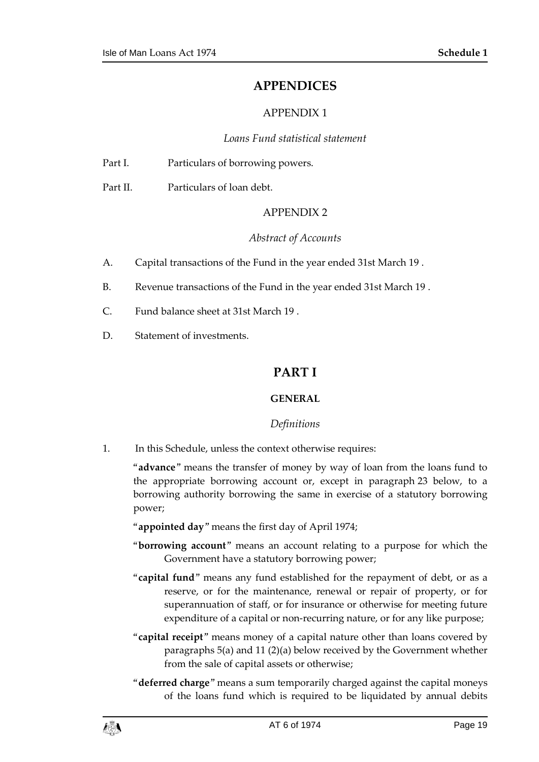#### **APPENDICES**

#### APPENDIX 1

#### *Loans Fund statistical statement*

| Part I. |  | Particulars of borrowing powers. |
|---------|--|----------------------------------|
|         |  |                                  |

Part II. Particulars of loan debt.

#### APPENDIX 2

#### *Abstract of Accounts*

- A. Capital transactions of the Fund in the year ended 31st March 19 .
- B. Revenue transactions of the Fund in the year ended 31st March 19 .
- C. Fund balance sheet at 31st March 19 .
- <span id="page-18-0"></span>D. Statement of investments.

#### **PART I**

#### **GENERAL**

#### *Definitions*

1. In this Schedule, unless the context otherwise requires:

"**advance**" means the transfer of money by way of loan from the loans fund to the appropriate borrowing account or, except in paragraph 23 below, to a borrowing authority borrowing the same in exercise of a statutory borrowing power;

- "**appointed day**" means the first day of April 1974;
- "**borrowing account**" means an account relating to a purpose for which the Government have a statutory borrowing power;
- "**capital fund**" means any fund established for the repayment of debt, or as a reserve, or for the maintenance, renewal or repair of property, or for superannuation of staff, or for insurance or otherwise for meeting future expenditure of a capital or non-recurring nature, or for any like purpose;
- "**capital receipt**" means money of a capital nature other than loans covered by paragraphs 5(a) and 11 (2)(a) below received by the Government whether from the sale of capital assets or otherwise;
- "**deferred charge**" means a sum temporarily charged against the capital moneys of the loans fund which is required to be liquidated by annual debits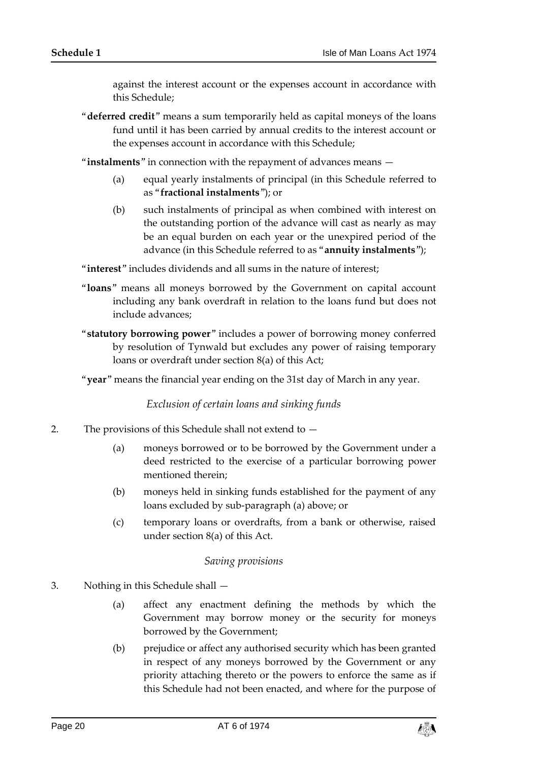against the interest account or the expenses account in accordance with this Schedule;

"**deferred credit**" means a sum temporarily held as capital moneys of the loans fund until it has been carried by annual credits to the interest account or the expenses account in accordance with this Schedule;

"**instalments**" in connection with the repayment of advances means —

- (a) equal yearly instalments of principal (in this Schedule referred to as "**fractional instalments**"); or
- (b) such instalments of principal as when combined with interest on the outstanding portion of the advance will cast as nearly as may be an equal burden on each year or the unexpired period of the advance (in this Schedule referred to as "**annuity instalments**");

"**interest**" includes dividends and all sums in the nature of interest;

- "**loans**" means all moneys borrowed by the Government on capital account including any bank overdraft in relation to the loans fund but does not include advances;
- "**statutory borrowing power**" includes a power of borrowing money conferred by resolution of Tynwald but excludes any power of raising temporary loans or overdraft under section 8(a) of this Act;

"**year**" means the financial year ending on the 31st day of March in any year.

*Exclusion of certain loans and sinking funds*

- 2. The provisions of this Schedule shall not extend to
	- (a) moneys borrowed or to be borrowed by the Government under a deed restricted to the exercise of a particular borrowing power mentioned therein;
	- (b) moneys held in sinking funds established for the payment of any loans excluded by sub-paragraph (a) above; or
	- (c) temporary loans or overdrafts, from a bank or otherwise, raised under section 8(a) of this Act.

#### *Saving provisions*

- 3. Nothing in this Schedule shall
	- (a) affect any enactment defining the methods by which the Government may borrow money or the security for moneys borrowed by the Government;
	- (b) prejudice or affect any authorised security which has been granted in respect of any moneys borrowed by the Government or any priority attaching thereto or the powers to enforce the same as if this Schedule had not been enacted, and where for the purpose of

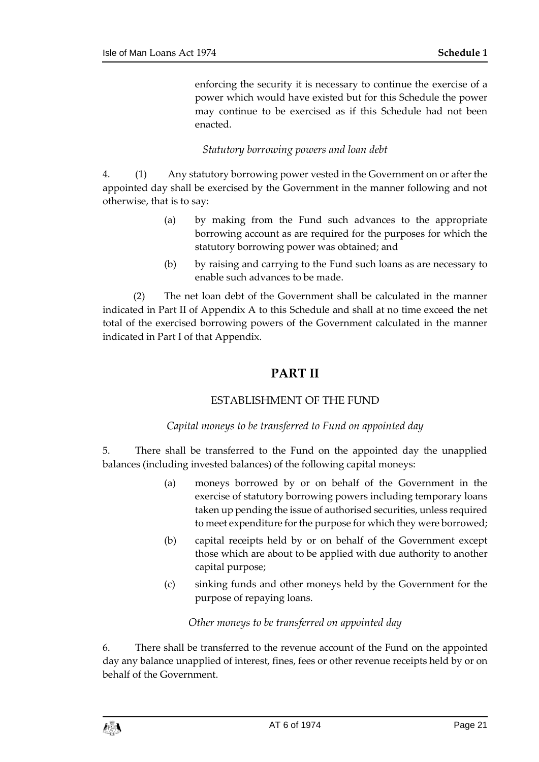enforcing the security it is necessary to continue the exercise of a power which would have existed but for this Schedule the power may continue to be exercised as if this Schedule had not been enacted.

#### *Statutory borrowing powers and loan debt*

4. (1) Any statutory borrowing power vested in the Government on or after the appointed day shall be exercised by the Government in the manner following and not otherwise, that is to say:

- (a) by making from the Fund such advances to the appropriate borrowing account as are required for the purposes for which the statutory borrowing power was obtained; and
- (b) by raising and carrying to the Fund such loans as are necessary to enable such advances to be made.

(2) The net loan debt of the Government shall be calculated in the manner indicated in Part II of Appendix A to this Schedule and shall at no time exceed the net total of the exercised borrowing powers of the Government calculated in the manner indicated in Part I of that Appendix.

## **PART II**

#### ESTABLISHMENT OF THE FUND

#### *Capital moneys to be transferred to Fund on appointed day*

5. There shall be transferred to the Fund on the appointed day the unapplied balances (including invested balances) of the following capital moneys:

- (a) moneys borrowed by or on behalf of the Government in the exercise of statutory borrowing powers including temporary loans taken up pending the issue of authorised securities, unless required to meet expenditure for the purpose for which they were borrowed;
- (b) capital receipts held by or on behalf of the Government except those which are about to be applied with due authority to another capital purpose;
- (c) sinking funds and other moneys held by the Government for the purpose of repaying loans.

#### *Other moneys to be transferred on appointed day*

6. There shall be transferred to the revenue account of the Fund on the appointed day any balance unapplied of interest, fines, fees or other revenue receipts held by or on behalf of the Government.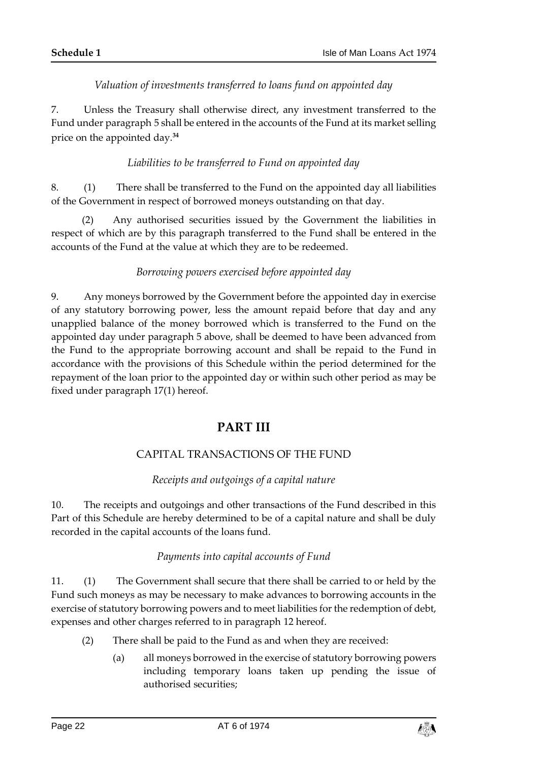*Valuation of investments transferred to loans fund on appointed day*

7. Unless the Treasury shall otherwise direct, any investment transferred to the Fund under paragraph 5 shall be entered in the accounts of the Fund at its market selling price on the appointed day.**<sup>34</sup>**

#### *Liabilities to be transferred to Fund on appointed day*

8. (1) There shall be transferred to the Fund on the appointed day all liabilities of the Government in respect of borrowed moneys outstanding on that day.

(2) Any authorised securities issued by the Government the liabilities in respect of which are by this paragraph transferred to the Fund shall be entered in the accounts of the Fund at the value at which they are to be redeemed.

#### *Borrowing powers exercised before appointed day*

9. Any moneys borrowed by the Government before the appointed day in exercise of any statutory borrowing power, less the amount repaid before that day and any unapplied balance of the money borrowed which is transferred to the Fund on the appointed day under paragraph 5 above, shall be deemed to have been advanced from the Fund to the appropriate borrowing account and shall be repaid to the Fund in accordance with the provisions of this Schedule within the period determined for the repayment of the loan prior to the appointed day or within such other period as may be fixed under paragraph 17(1) hereof.

#### **PART III**

#### CAPITAL TRANSACTIONS OF THE FUND

#### *Receipts and outgoings of a capital nature*

10. The receipts and outgoings and other transactions of the Fund described in this Part of this Schedule are hereby determined to be of a capital nature and shall be duly recorded in the capital accounts of the loans fund.

#### *Payments into capital accounts of Fund*

11. (1) The Government shall secure that there shall be carried to or held by the Fund such moneys as may be necessary to make advances to borrowing accounts in the exercise of statutory borrowing powers and to meet liabilities for the redemption of debt, expenses and other charges referred to in paragraph 12 hereof.

- (2) There shall be paid to the Fund as and when they are received:
	- (a) all moneys borrowed in the exercise of statutory borrowing powers including temporary loans taken up pending the issue of authorised securities;

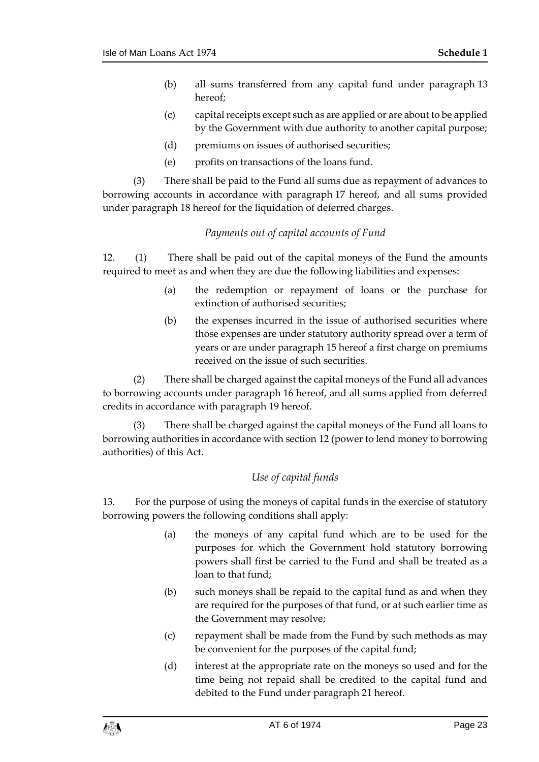- (b) all sums transferred from any capital fund under paragraph 13 hereof;
- (c) capital receipts except such as are applied or are about to be applied by the Government with due authority to another capital purpose;
- (d) premiums on issues of authorised securities;
- (e) profits on transactions of the loans fund.

(3) There shall be paid to the Fund all sums due as repayment of advances to borrowing accounts in accordance with paragraph 17 hereof, and all sums provided under paragraph 18 hereof for the liquidation of deferred charges.

#### *Payments out of capital accounts of Fund*

12. (1) There shall be paid out of the capital moneys of the Fund the amounts required to meet as and when they are due the following liabilities and expenses:

- (a) the redemption or repayment of loans or the purchase for extinction of authorised securities;
- (b) the expenses incurred in the issue of authorised securities where those expenses are under statutory authority spread over a term of years or are under paragraph 15 hereof a first charge on premiums received on the issue of such securities.

(2) There shall be charged against the capital moneys of the Fund all advances to borrowing accounts under paragraph 16 hereof, and all sums applied from deferred credits in accordance with paragraph 19 hereof.

(3) There shall be charged against the capital moneys of the Fund all loans to borrowing authorities in accordance with section 12 (power to lend money to borrowing authorities) of this Act.

#### *Use of capital funds*

13. For the purpose of using the moneys of capital funds in the exercise of statutory borrowing powers the following conditions shall apply:

- (a) the moneys of any capital fund which are to be used for the purposes for which the Government hold statutory borrowing powers shall first be carried to the Fund and shall be treated as a loan to that fund;
- (b) such moneys shall be repaid to the capital fund as and when they are required for the purposes of that fund, or at such earlier time as the Government may resolve;
- (c) repayment shall be made from the Fund by such methods as may be convenient for the purposes of the capital fund;
- (d) interest at the appropriate rate on the moneys so used and for the time being not repaid shall be credited to the capital fund and debited to the Fund under paragraph 21 hereof.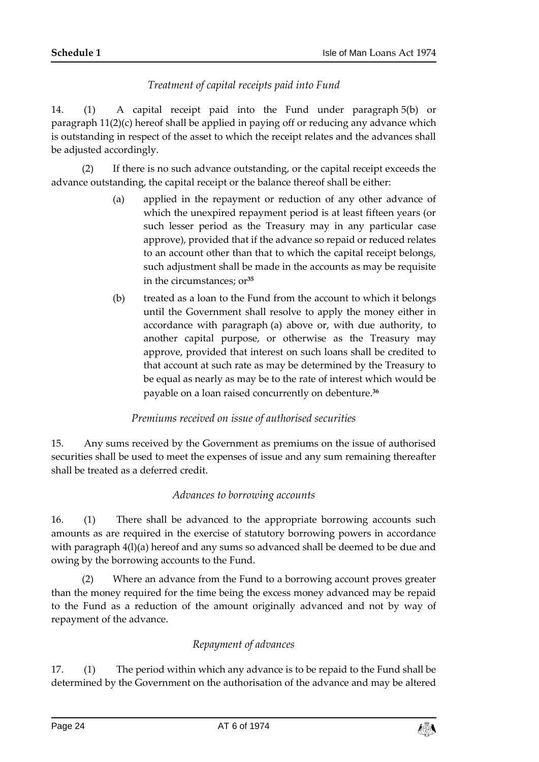#### *Treatment of capital receipts paid into Fund*

14. (1) A capital receipt paid into the Fund under paragraph 5(b) or paragraph 11(2)(c) hereof shall be applied in paying off or reducing any advance which is outstanding in respect of the asset to which the receipt relates and the advances shall be adjusted accordingly.

(2) If there is no such advance outstanding, or the capital receipt exceeds the advance outstanding, the capital receipt or the balance thereof shall be either:

- (a) applied in the repayment or reduction of any other advance of which the unexpired repayment period is at least fifteen years (or such lesser period as the Treasury may in any particular case approve), provided that if the advance so repaid or reduced relates to an account other than that to which the capital receipt belongs, such adjustment shall be made in the accounts as may be requisite in the circumstances; or**<sup>35</sup>**
- (b) treated as a loan to the Fund from the account to which it belongs until the Government shall resolve to apply the money either in accordance with paragraph (a) above or, with due authority, to another capital purpose, or otherwise as the Treasury may approve, provided that interest on such loans shall be credited to that account at such rate as may be determined by the Treasury to be equal as nearly as may be to the rate of interest which would be payable on a loan raised concurrently on debenture.**<sup>36</sup>**

#### *Premiums received on issue of authorised securities*

15. Any sums received by the Government as premiums on the issue of authorised securities shall be used to meet the expenses of issue and any sum remaining thereafter shall be treated as a deferred credit.

#### *Advances to borrowing accounts*

16. (1) There shall be advanced to the appropriate borrowing accounts such amounts as are required in the exercise of statutory borrowing powers in accordance with paragraph 4(l)(a) hereof and any sums so advanced shall be deemed to be due and owing by the borrowing accounts to the Fund.

(2) Where an advance from the Fund to a borrowing account proves greater than the money required for the time being the excess money advanced may be repaid to the Fund as a reduction of the amount originally advanced and not by way of repayment of the advance.

#### *Repayment of advances*

17. (1) The period within which any advance is to be repaid to the Fund shall be determined by the Government on the authorisation of the advance and may be altered

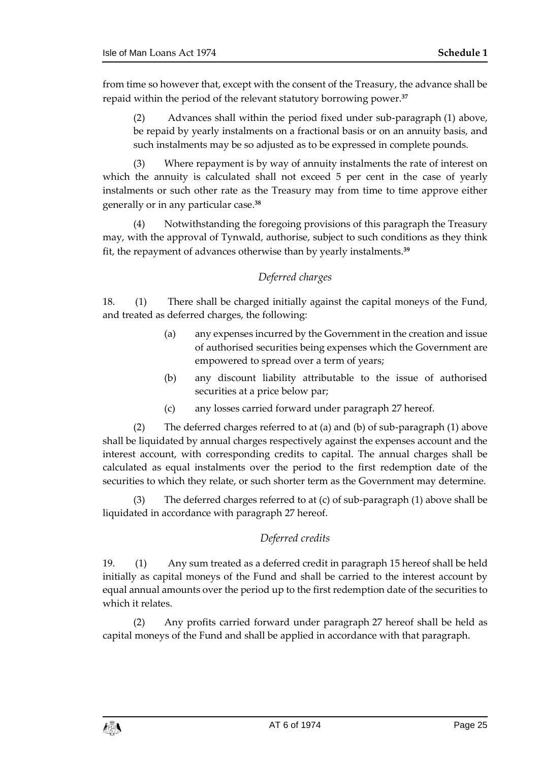from time so however that, except with the consent of the Treasury, the advance shall be repaid within the period of the relevant statutory borrowing power.**<sup>37</sup>**

(2) Advances shall within the period fixed under sub-paragraph (1) above, be repaid by yearly instalments on a fractional basis or on an annuity basis, and such instalments may be so adjusted as to be expressed in complete pounds.

(3) Where repayment is by way of annuity instalments the rate of interest on which the annuity is calculated shall not exceed 5 per cent in the case of yearly instalments or such other rate as the Treasury may from time to time approve either generally or in any particular case.**<sup>38</sup>**

(4) Notwithstanding the foregoing provisions of this paragraph the Treasury may, with the approval of Tynwald, authorise, subject to such conditions as they think fit, the repayment of advances otherwise than by yearly instalments.**<sup>39</sup>**

#### *Deferred charges*

18. (1) There shall be charged initially against the capital moneys of the Fund, and treated as deferred charges, the following:

- (a) any expenses incurred by the Government in the creation and issue of authorised securities being expenses which the Government are empowered to spread over a term of years;
- (b) any discount liability attributable to the issue of authorised securities at a price below par;
- (c) any losses carried forward under paragraph 27 hereof.

(2) The deferred charges referred to at (a) and (b) of sub-paragraph (1) above shall be liquidated by annual charges respectively against the expenses account and the interest account, with corresponding credits to capital. The annual charges shall be calculated as equal instalments over the period to the first redemption date of the securities to which they relate, or such shorter term as the Government may determine.

(3) The deferred charges referred to at (c) of sub-paragraph (1) above shall be liquidated in accordance with paragraph 27 hereof.

#### *Deferred credits*

19. (1) Any sum treated as a deferred credit in paragraph 15 hereof shall be held initially as capital moneys of the Fund and shall be carried to the interest account by equal annual amounts over the period up to the first redemption date of the securities to which it relates.

(2) Any profits carried forward under paragraph 27 hereof shall be held as capital moneys of the Fund and shall be applied in accordance with that paragraph.

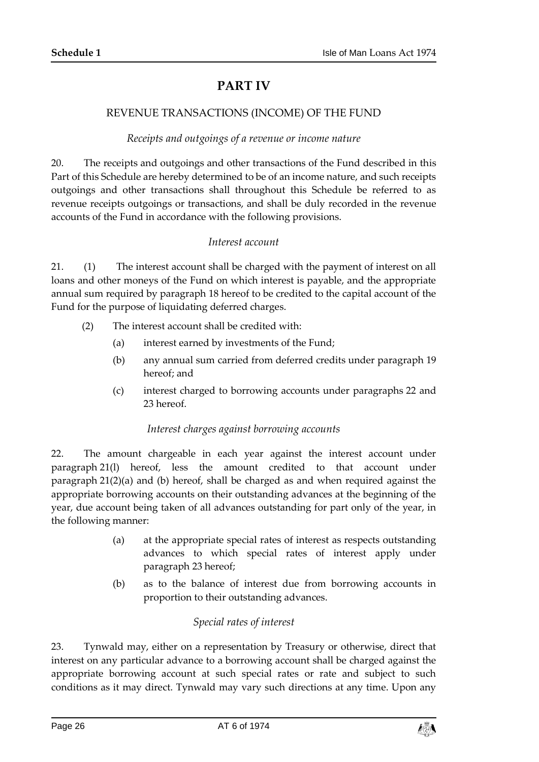# **PART IV**

#### REVENUE TRANSACTIONS (INCOME) OF THE FUND

#### *Receipts and outgoings of a revenue or income nature*

20. The receipts and outgoings and other transactions of the Fund described in this Part of this Schedule are hereby determined to be of an income nature, and such receipts outgoings and other transactions shall throughout this Schedule be referred to as revenue receipts outgoings or transactions, and shall be duly recorded in the revenue accounts of the Fund in accordance with the following provisions.

#### *Interest account*

21. (1) The interest account shall be charged with the payment of interest on all loans and other moneys of the Fund on which interest is payable, and the appropriate annual sum required by paragraph 18 hereof to be credited to the capital account of the Fund for the purpose of liquidating deferred charges.

- (2) The interest account shall be credited with:
	- (a) interest earned by investments of the Fund;
	- (b) any annual sum carried from deferred credits under paragraph 19 hereof; and
	- (c) interest charged to borrowing accounts under paragraphs 22 and 23 hereof.

#### *Interest charges against borrowing accounts*

22. The amount chargeable in each year against the interest account under paragraph 21(l) hereof, less the amount credited to that account under paragraph 21(2)(a) and (b) hereof, shall be charged as and when required against the appropriate borrowing accounts on their outstanding advances at the beginning of the year, due account being taken of all advances outstanding for part only of the year, in the following manner:

- (a) at the appropriate special rates of interest as respects outstanding advances to which special rates of interest apply under paragraph 23 hereof;
- (b) as to the balance of interest due from borrowing accounts in proportion to their outstanding advances.

#### *Special rates of interest*

23. Tynwald may, either on a representation by Treasury or otherwise, direct that interest on any particular advance to a borrowing account shall be charged against the appropriate borrowing account at such special rates or rate and subject to such conditions as it may direct. Tynwald may vary such directions at any time. Upon any

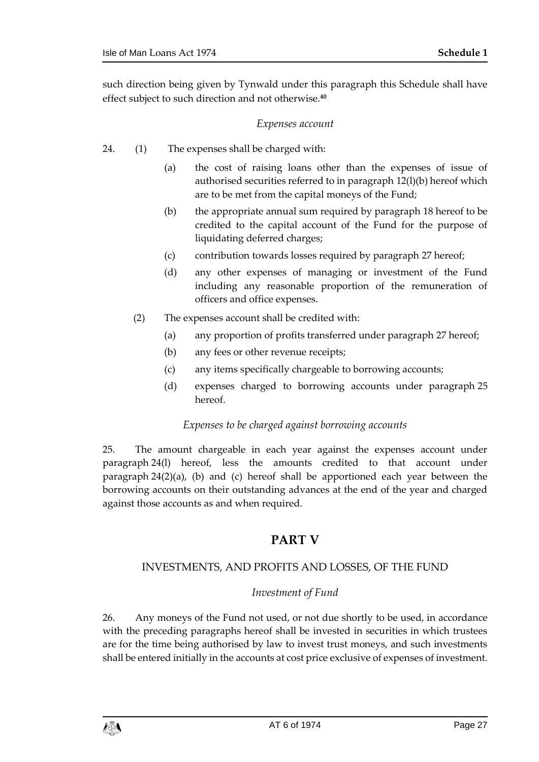such direction being given by Tynwald under this paragraph this Schedule shall have effect subject to such direction and not otherwise.**<sup>40</sup>**

#### *Expenses account*

- 24. (1) The expenses shall be charged with:
	- (a) the cost of raising loans other than the expenses of issue of authorised securities referred to in paragraph 12(l)(b) hereof which are to be met from the capital moneys of the Fund;
	- (b) the appropriate annual sum required by paragraph 18 hereof to be credited to the capital account of the Fund for the purpose of liquidating deferred charges;
	- (c) contribution towards losses required by paragraph 27 hereof;
	- (d) any other expenses of managing or investment of the Fund including any reasonable proportion of the remuneration of officers and office expenses.
	- (2) The expenses account shall be credited with:
		- (a) any proportion of profits transferred under paragraph 27 hereof;
		- (b) any fees or other revenue receipts;
		- (c) any items specifically chargeable to borrowing accounts;
		- (d) expenses charged to borrowing accounts under paragraph 25 hereof.

#### *Expenses to be charged against borrowing accounts*

25. The amount chargeable in each year against the expenses account under paragraph 24(l) hereof, less the amounts credited to that account under paragraph 24(2)(a), (b) and (c) hereof shall be apportioned each year between the borrowing accounts on their outstanding advances at the end of the year and charged against those accounts as and when required.

#### **PART V**

#### INVESTMENTS, AND PROFITS AND LOSSES, OF THE FUND

#### *Investment of Fund*

26. Any moneys of the Fund not used, or not due shortly to be used, in accordance with the preceding paragraphs hereof shall be invested in securities in which trustees are for the time being authorised by law to invest trust moneys, and such investments shall be entered initially in the accounts at cost price exclusive of expenses of investment.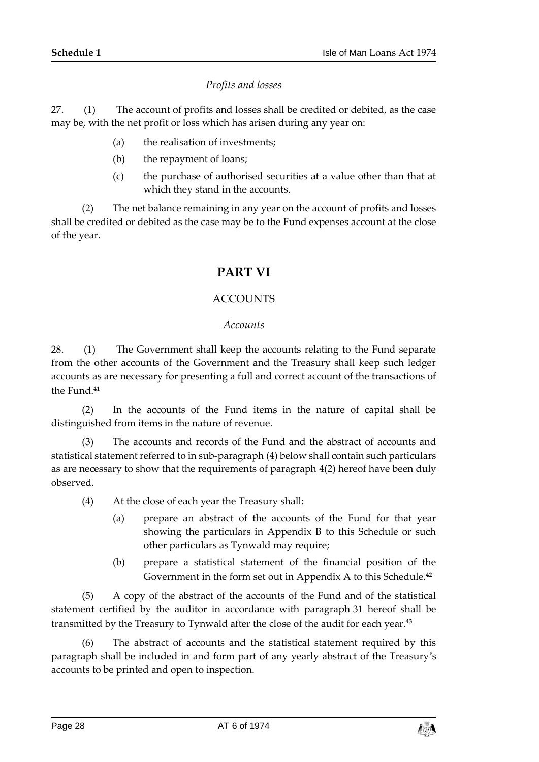#### *Profits and losses*

27. (1) The account of profits and losses shall be credited or debited, as the case may be, with the net profit or loss which has arisen during any year on:

- (a) the realisation of investments;
- (b) the repayment of loans;
- (c) the purchase of authorised securities at a value other than that at which they stand in the accounts.

(2) The net balance remaining in any year on the account of profits and losses shall be credited or debited as the case may be to the Fund expenses account at the close of the year.

# **PART VI**

#### ACCOUNTS

#### *Accounts*

28. (1) The Government shall keep the accounts relating to the Fund separate from the other accounts of the Government and the Treasury shall keep such ledger accounts as are necessary for presenting a full and correct account of the transactions of the Fund.**<sup>41</sup>**

(2) In the accounts of the Fund items in the nature of capital shall be distinguished from items in the nature of revenue.

(3) The accounts and records of the Fund and the abstract of accounts and statistical statement referred to in sub-paragraph (4) below shall contain such particulars as are necessary to show that the requirements of paragraph 4(2) hereof have been duly observed.

- (4) At the close of each year the Treasury shall:
	- (a) prepare an abstract of the accounts of the Fund for that year showing the particulars in Appendix B to this Schedule or such other particulars as Tynwald may require;
	- (b) prepare a statistical statement of the financial position of the Government in the form set out in Appendix A to this Schedule.**<sup>42</sup>**

(5) A copy of the abstract of the accounts of the Fund and of the statistical statement certified by the auditor in accordance with paragraph 31 hereof shall be transmitted by the Treasury to Tynwald after the close of the audit for each year.**<sup>43</sup>**

(6) The abstract of accounts and the statistical statement required by this paragraph shall be included in and form part of any yearly abstract of the Treasury's accounts to be printed and open to inspection.

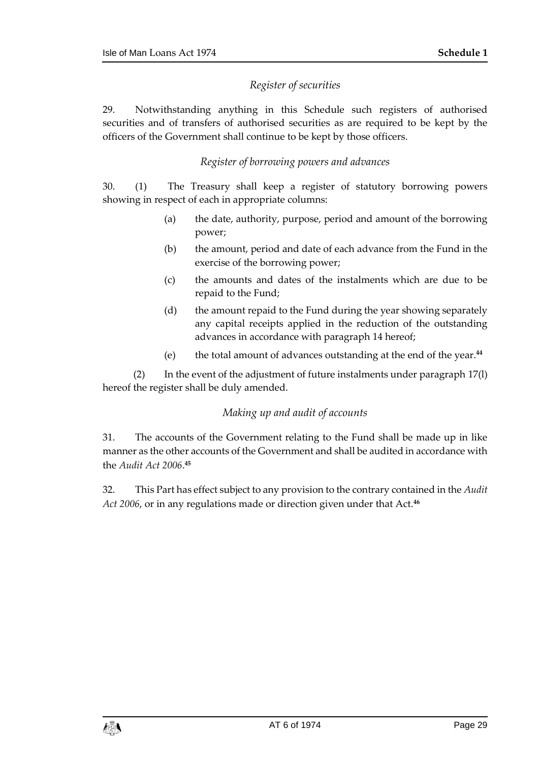#### *Register of securities*

29. Notwithstanding anything in this Schedule such registers of authorised securities and of transfers of authorised securities as are required to be kept by the officers of the Government shall continue to be kept by those officers.

#### *Register of borrowing powers and advances*

30. (1) The Treasury shall keep a register of statutory borrowing powers showing in respect of each in appropriate columns:

- (a) the date, authority, purpose, period and amount of the borrowing power;
- (b) the amount, period and date of each advance from the Fund in the exercise of the borrowing power;
- (c) the amounts and dates of the instalments which are due to be repaid to the Fund;
- (d) the amount repaid to the Fund during the year showing separately any capital receipts applied in the reduction of the outstanding advances in accordance with paragraph 14 hereof;
- (e) the total amount of advances outstanding at the end of the year.**<sup>44</sup>**

(2) In the event of the adjustment of future instalments under paragraph 17(l) hereof the register shall be duly amended.

#### *Making up and audit of accounts*

31. The accounts of the Government relating to the Fund shall be made up in like manner as the other accounts of the Government and shall be audited in accordance with the *Audit Act 2006*. **45**

32. This Part has effect subject to any provision to the contrary contained in the *Audit Act 2006*, or in any regulations made or direction given under that Act.**46**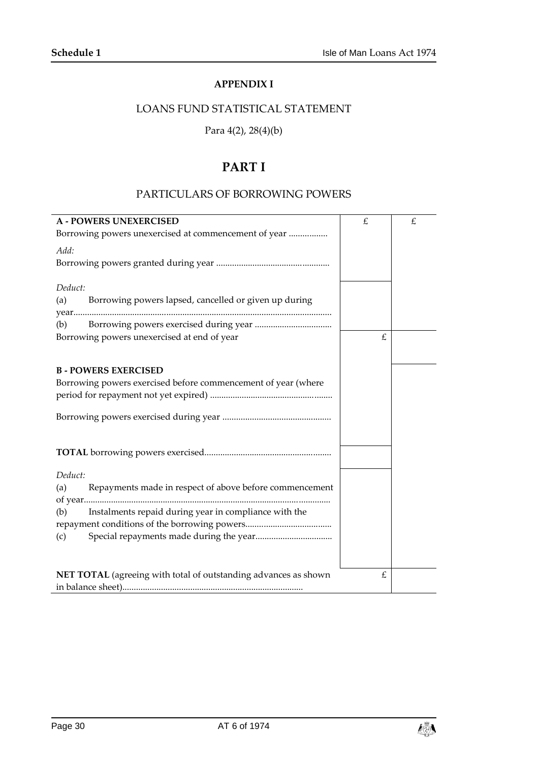#### **APPENDIX I**

## <span id="page-29-0"></span>LOANS FUND STATISTICAL STATEMENT

#### Para 4(2), 28(4)(b)

# **PART I**

#### PARTICULARS OF BORROWING POWERS

| <b>A - POWERS UNEXERCISED</b>                                                              | £ | £ |
|--------------------------------------------------------------------------------------------|---|---|
| Borrowing powers unexercised at commencement of year                                       |   |   |
| Add:                                                                                       |   |   |
| Deduct:                                                                                    |   |   |
| Borrowing powers lapsed, cancelled or given up during<br>(a)                               |   |   |
| (b)                                                                                        |   |   |
| Borrowing powers unexercised at end of year                                                | £ |   |
|                                                                                            |   |   |
| <b>B-POWERS EXERCISED</b><br>Borrowing powers exercised before commencement of year (where |   |   |
|                                                                                            |   |   |
|                                                                                            |   |   |
|                                                                                            |   |   |
| Deduct:                                                                                    |   |   |
| Repayments made in respect of above before commencement<br>(a)                             |   |   |
| Instalments repaid during year in compliance with the<br>(b)                               |   |   |
|                                                                                            |   |   |
| (c)                                                                                        |   |   |
|                                                                                            |   |   |
| NET TOTAL (agreeing with total of outstanding advances as shown                            | £ |   |
|                                                                                            |   |   |

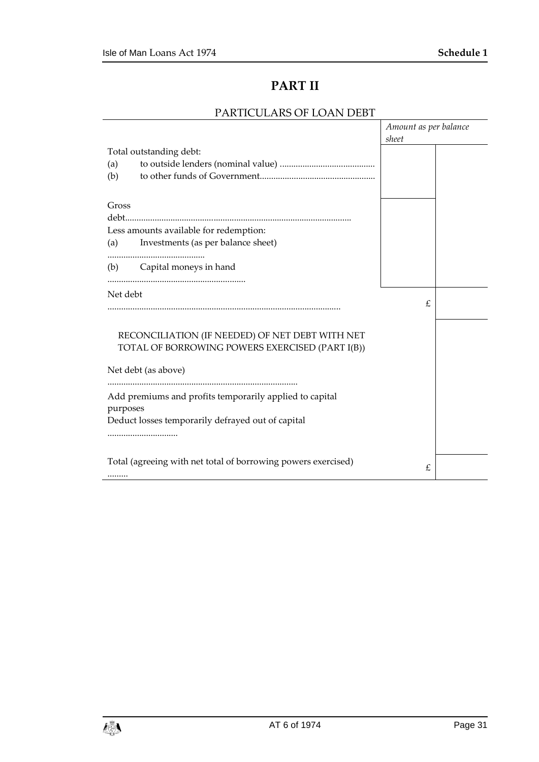# **PART II**

#### PARTICULARS OF LOAN DEBT

|          |                                                               | Amount as per balance |  |
|----------|---------------------------------------------------------------|-----------------------|--|
|          |                                                               | sheet                 |  |
|          | Total outstanding debt:                                       |                       |  |
| (a)      |                                                               |                       |  |
| (b)      |                                                               |                       |  |
|          |                                                               |                       |  |
| Gross    |                                                               |                       |  |
|          |                                                               |                       |  |
|          | Less amounts available for redemption:                        |                       |  |
| (a)      | Investments (as per balance sheet)                            |                       |  |
|          |                                                               |                       |  |
|          | (b) Capital moneys in hand                                    |                       |  |
|          |                                                               |                       |  |
| Net debt |                                                               |                       |  |
|          |                                                               | £                     |  |
|          |                                                               |                       |  |
|          |                                                               |                       |  |
|          | RECONCILIATION (IF NEEDED) OF NET DEBT WITH NET               |                       |  |
|          | TOTAL OF BORROWING POWERS EXERCISED (PART I(B))               |                       |  |
|          | Net debt (as above)                                           |                       |  |
|          |                                                               |                       |  |
|          | Add premiums and profits temporarily applied to capital       |                       |  |
| purposes |                                                               |                       |  |
|          | Deduct losses temporarily defrayed out of capital             |                       |  |
|          |                                                               |                       |  |
|          |                                                               |                       |  |
|          | Total (agreeing with net total of borrowing powers exercised) |                       |  |
|          |                                                               | £                     |  |
|          |                                                               |                       |  |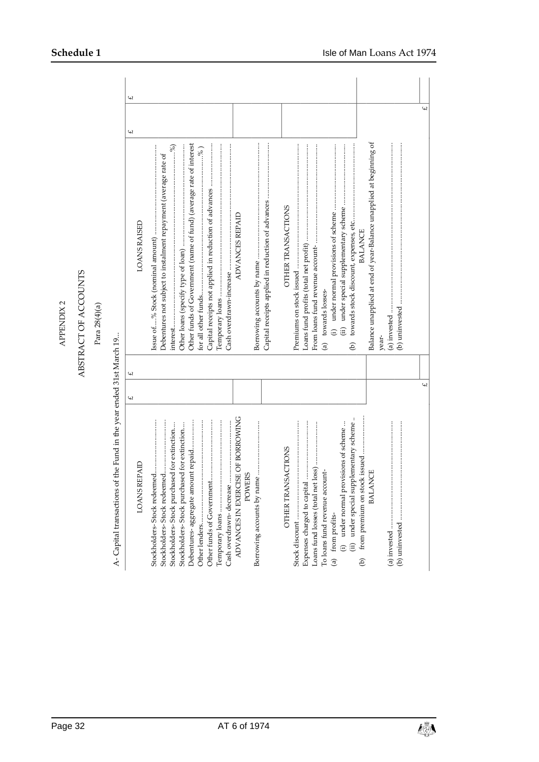# ABSTRACT OF ACCOUNTS ABSTRACT OF ACCOUNTS

Para 28(4)(a)

A- Capital transactions of the Fund in the year ended 31st March 19... A- Capital transactions of the Fund in the year ended 31st March 19...

| <b>LOANS REPAID</b>                                                                                                                                                                                            | $\omega$       | $\omega$ | LOANS RAISED                                                                                                                                                                         | $\omega$       | $\omega$ |
|----------------------------------------------------------------------------------------------------------------------------------------------------------------------------------------------------------------|----------------|----------|--------------------------------------------------------------------------------------------------------------------------------------------------------------------------------------|----------------|----------|
| ADVANCES IN EXERCISE OF BORROWING<br>Debentures- aggregate amount repaid<br>Stockholders-Stock purchased for extinction<br>Stockholders-Stock purchased for extinction<br><b>POWERS</b><br>Temporary loans     |                |          | Other funds of Government (name of fund) (average rate of interest<br>$\operatorname{intersL}$<br>Debentures not subject to instalment repayment (average rate of<br>ADVANCES REPAID |                |          |
| (ii) under special supplementary scheme.<br>(i) under normal provisions of scheme<br>OTHER TRANSACTIONS<br>To loans fund revenue account-<br>Expenses charged to capital<br>(a) from profits-<br>$\widehat{e}$ |                |          | OTHER TRANSACTIONS<br><b>BALANCE</b><br>(a) towards losses-<br>ê                                                                                                                     |                |          |
| <b>BALANCE</b>                                                                                                                                                                                                 | $\overline{u}$ |          | Balance unapplied at end of year-Balance unapplied at beginning of<br>vear-                                                                                                          | $\overline{2}$ |          |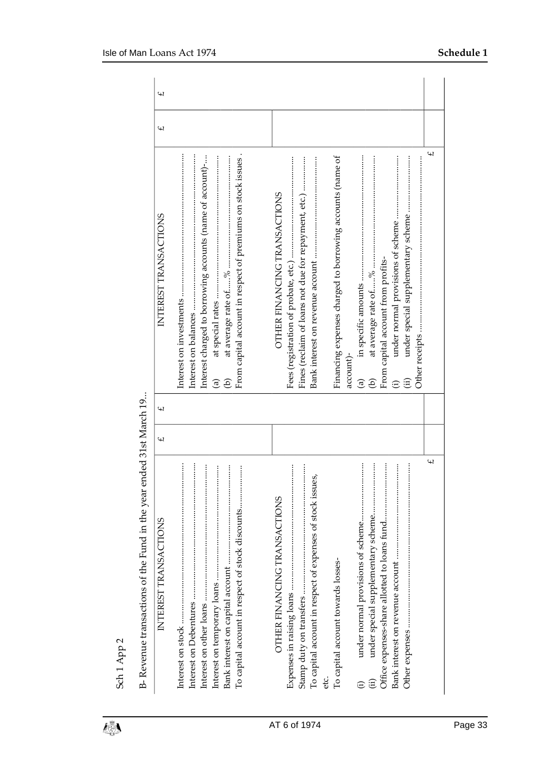| INTEREST TRANSACTIONS                                                                                                                                                            | $\overline{2}$ | $\overline{u}$ | INTEREST TRANSACTIONS                                                                                                                                    | $\overline{u}$ | $\overline{2}$ |
|----------------------------------------------------------------------------------------------------------------------------------------------------------------------------------|----------------|----------------|----------------------------------------------------------------------------------------------------------------------------------------------------------|----------------|----------------|
| $\vdots$<br>$\vdots$<br>To capital account in respect of stock discounts                                                                                                         |                |                | From capital account in respect of premiums on stock issues.<br>Interest charged to borrowing accounts (name of account)-<br>ව<br>$\mathbf{\widehat{a}}$ |                |                |
| $\vdots$<br>$\begin{array}{c} \vdots \\ \vdots \\ \vdots \end{array}$<br>To capital account in respect of expenses of stock issues,<br>OTHER FINANCING TRANSACTIONS<br>etc.<br>U |                |                | Fines (reclaim of loans not due for repayment, etc.)<br>OTHER FINANCING TRANSACTIONS<br>Fees (registration of probate, etc.)                             |                |                |
| To capital account towards losses-                                                                                                                                               |                |                | Financing expenses charged to borrowing accounts (name of<br>account)-                                                                                   |                |                |
| $\ddot{a}$<br>$\vdots$<br>under normal provisions of scheme<br>$\widehat{\mathrm{H}}$                                                                                            |                |                | From capital account from profits-<br>$\widehat{\mathrm{H}}$<br>$\widehat{a}$<br>Э)<br>$\widehat{\Xi}$                                                   |                |                |
| Щ                                                                                                                                                                                |                |                | £                                                                                                                                                        |                |                |

B- Revenue transactions of the Fund in the year ended 31st March 19... B- Revenue transactions of the Fund in the year ended 31st March 19...

Sch 1 App 2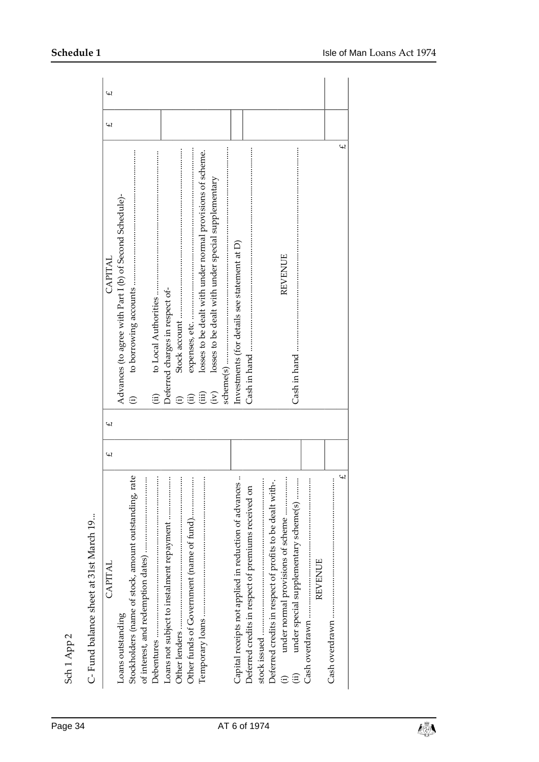| C-Fund balance sheet at 31st March 19                             |   |                          |                                                                     |   |   |
|-------------------------------------------------------------------|---|--------------------------|---------------------------------------------------------------------|---|---|
| CAPITAL                                                           | £ | $\overline{\mathcal{L}}$ | CAPITAL                                                             | £ | £ |
| Loans outstanding                                                 |   |                          | Advances (to agree with Part I (b) of Second Schedule)-             |   |   |
| Stockholders (name of stock, amount outstanding, rate             |   |                          | $\widehat{\Xi}$                                                     |   |   |
| $\vdots$                                                          |   |                          |                                                                     |   |   |
| <br>Debentures                                                    |   |                          | $\overline{a}$                                                      |   |   |
|                                                                   |   |                          | Deferred charges in respect of-                                     |   |   |
|                                                                   |   |                          | $\widehat{\oplus}$                                                  |   |   |
|                                                                   |   |                          | $\widehat{E}$                                                       |   |   |
|                                                                   |   |                          | losses to be dealt with under normal provisions of scheme.<br>(iii) |   |   |
|                                                                   |   |                          | losses to be dealt with under special supplementary<br>(iv)         |   |   |
|                                                                   |   |                          |                                                                     |   |   |
| $\vdots$<br>Capital receipts not applied in reduction of advances |   |                          | Investments (for details see statement at D)                        |   |   |
| Deferred credits in respect of premiums received on               |   |                          |                                                                     |   |   |
| $\vdots$<br>stock issued                                          |   |                          |                                                                     |   |   |
| Deferred credits in respect of profits to be dealt with-.         |   |                          |                                                                     |   |   |
| under normal provisions of scheme                                 |   |                          | <b>REVENUE</b>                                                      |   |   |
| under special supplementary scheme(s)                             |   |                          |                                                                     |   |   |
| Cash overdrawn                                                    |   |                          |                                                                     |   |   |
| <b>REVENUE</b>                                                    |   |                          |                                                                     |   |   |
| $\ddot{\cdot}$                                                    |   |                          |                                                                     |   |   |
| $\overline{2}$                                                    |   |                          | £                                                                   |   |   |
|                                                                   |   |                          |                                                                     |   |   |

Sch 1 App 2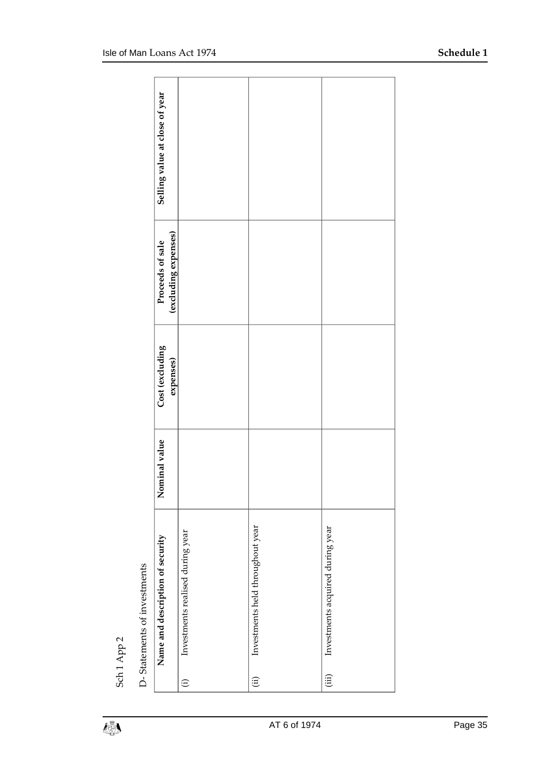| D-Statements of investments                        |               |                              |                                          |                                |
|----------------------------------------------------|---------------|------------------------------|------------------------------------------|--------------------------------|
| Name and description of security                   | Nominal value | Cost (excluding<br>expenses) | (excluding expenses)<br>Proceeds of sale | Selling value at close of year |
| Investments realised during year<br>$\odot$        |               |                              |                                          |                                |
| Investments held throughout year<br>$\overline{a}$ |               |                              |                                          |                                |
| Investments acquired during year<br>(iii)          |               |                              |                                          |                                |

Sch 1 App 2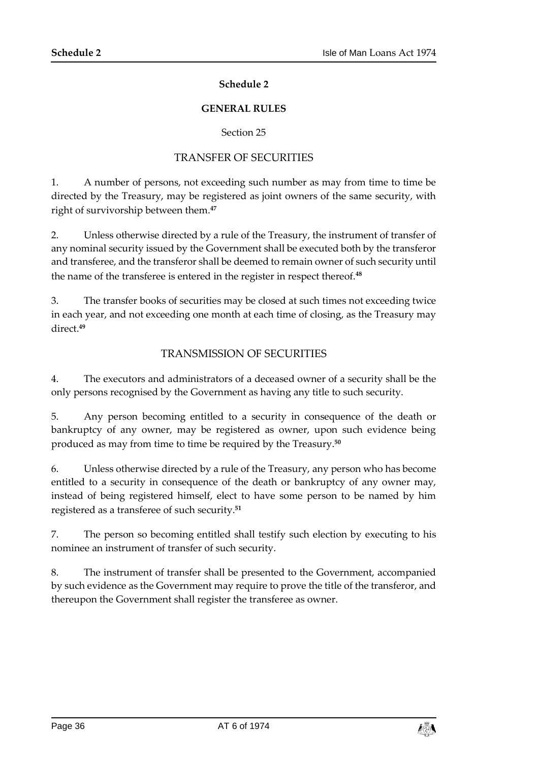#### **Schedule 2**

#### **GENERAL RULES**

#### Section 25

#### TRANSFER OF SECURITIES

<span id="page-35-1"></span><span id="page-35-0"></span>1. A number of persons, not exceeding such number as may from time to time be directed by the Treasury, may be registered as joint owners of the same security, with right of survivorship between them.**<sup>47</sup>**

2. Unless otherwise directed by a rule of the Treasury, the instrument of transfer of any nominal security issued by the Government shall be executed both by the transferor and transferee, and the transferor shall be deemed to remain owner of such security until the name of the transferee is entered in the register in respect thereof.**<sup>48</sup>**

3. The transfer books of securities may be closed at such times not exceeding twice in each year, and not exceeding one month at each time of closing, as the Treasury may direct.**<sup>49</sup>**

#### TRANSMISSION OF SECURITIES

4. The executors and administrators of a deceased owner of a security shall be the only persons recognised by the Government as having any title to such security.

5. Any person becoming entitled to a security in consequence of the death or bankruptcy of any owner, may be registered as owner, upon such evidence being produced as may from time to time be required by the Treasury.**<sup>50</sup>**

6. Unless otherwise directed by a rule of the Treasury, any person who has become entitled to a security in consequence of the death or bankruptcy of any owner may, instead of being registered himself, elect to have some person to be named by him registered as a transferee of such security.**<sup>51</sup>**

7. The person so becoming entitled shall testify such election by executing to his nominee an instrument of transfer of such security.

8. The instrument of transfer shall be presented to the Government, accompanied by such evidence as the Government may require to prove the title of the transferor, and thereupon the Government shall register the transferee as owner.

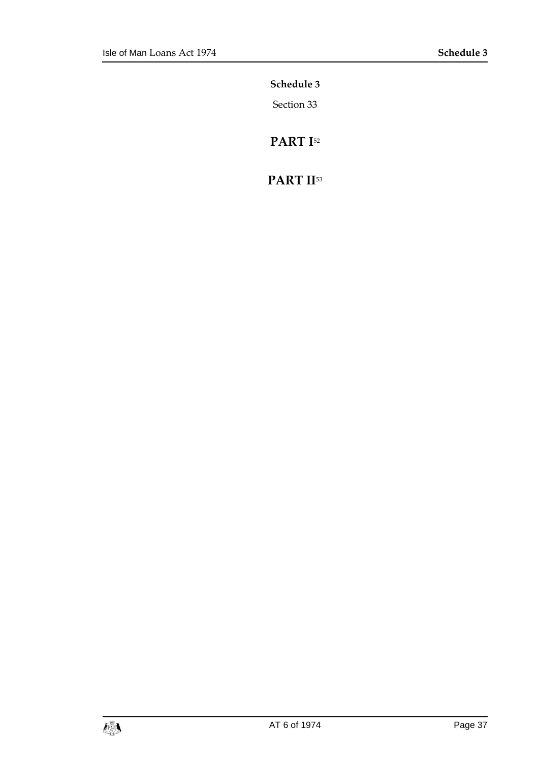<span id="page-36-0"></span>**Schedule 3**

Section 33

**PART I**<sup>52</sup>

# **PART II**53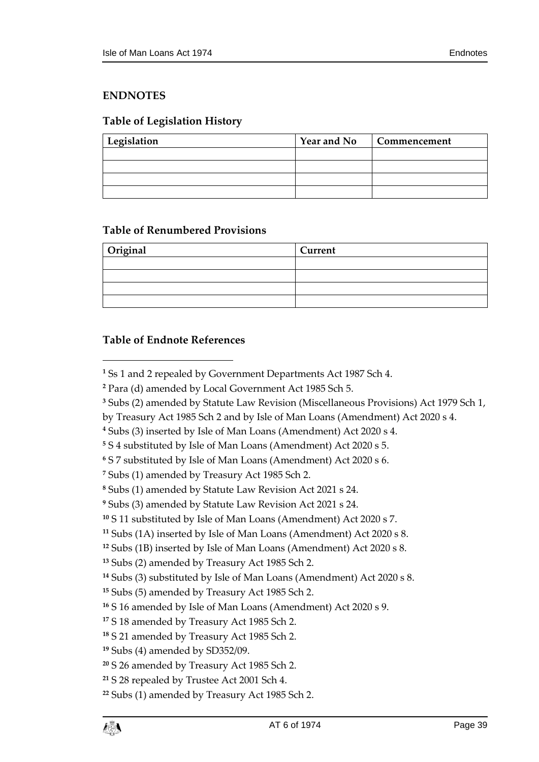#### <span id="page-38-0"></span>**ENDNOTES**

#### <span id="page-38-1"></span>**Table of Legislation History**

| Legislation | <b>Year and No</b> | Commencement |
|-------------|--------------------|--------------|
|             |                    |              |
|             |                    |              |
|             |                    |              |
|             |                    |              |

#### <span id="page-38-2"></span>**Table of Renumbered Provisions**

| Original | Current |
|----------|---------|
|          |         |
|          |         |
|          |         |
|          |         |

#### <span id="page-38-3"></span>**Table of Endnote References**

 $\overline{a}$ 

- Subs (2) amended by Statute Law Revision (Miscellaneous Provisions) Act 1979 Sch 1,
- by Treasury Act 1985 Sch 2 and by Isle of Man Loans (Amendment) Act 2020 s 4.

Ss 1 and 2 repealed by Government Departments Act 1987 Sch 4.

Para (d) amended by Local Government Act 1985 Sch 5.

Subs (3) inserted by Isle of Man Loans (Amendment) Act 2020 s 4.

S 4 substituted by Isle of Man Loans (Amendment) Act 2020 s 5.

S 7 substituted by Isle of Man Loans (Amendment) Act 2020 s 6.

Subs (1) amended by Treasury Act 1985 Sch 2.

Subs (1) amended by Statute Law Revision Act 2021 s 24.

Subs (3) amended by Statute Law Revision Act 2021 s 24.

S 11 substituted by Isle of Man Loans (Amendment) Act 2020 s 7.

Subs (1A) inserted by Isle of Man Loans (Amendment) Act 2020 s 8.

Subs (1B) inserted by Isle of Man Loans (Amendment) Act 2020 s 8.

Subs (2) amended by Treasury Act 1985 Sch 2.

Subs (3) substituted by Isle of Man Loans (Amendment) Act 2020 s 8.

Subs (5) amended by Treasury Act 1985 Sch 2.

S 16 amended by Isle of Man Loans (Amendment) Act 2020 s 9.

S 18 amended by Treasury Act 1985 Sch 2.

S 21 amended by Treasury Act 1985 Sch 2.

Subs (4) amended by SD352/09.

S 26 amended by Treasury Act 1985 Sch 2.

S 28 repealed by Trustee Act 2001 Sch 4.

Subs (1) amended by Treasury Act 1985 Sch 2.